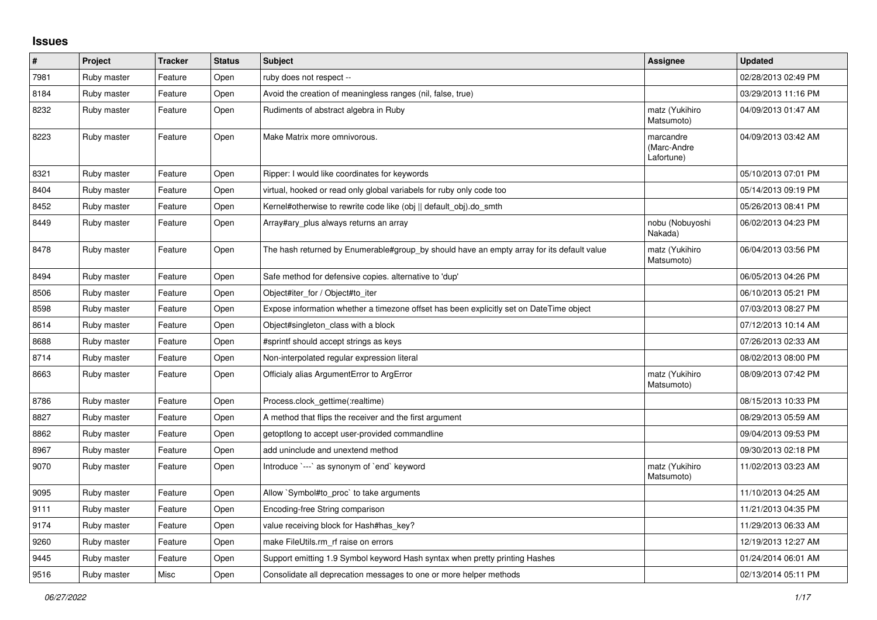## **Issues**

| $\vert$ # | Project     | <b>Tracker</b> | <b>Status</b> | <b>Subject</b>                                                                            | Assignee                               | <b>Updated</b>      |
|-----------|-------------|----------------|---------------|-------------------------------------------------------------------------------------------|----------------------------------------|---------------------|
| 7981      | Ruby master | Feature        | Open          | ruby does not respect --                                                                  |                                        | 02/28/2013 02:49 PM |
| 8184      | Ruby master | Feature        | Open          | Avoid the creation of meaningless ranges (nil, false, true)                               |                                        | 03/29/2013 11:16 PM |
| 8232      | Ruby master | Feature        | Open          | Rudiments of abstract algebra in Ruby                                                     | matz (Yukihiro<br>Matsumoto)           | 04/09/2013 01:47 AM |
| 8223      | Ruby master | Feature        | Open          | Make Matrix more omnivorous.                                                              | marcandre<br>(Marc-Andre<br>Lafortune) | 04/09/2013 03:42 AM |
| 8321      | Ruby master | Feature        | Open          | Ripper: I would like coordinates for keywords                                             |                                        | 05/10/2013 07:01 PM |
| 8404      | Ruby master | Feature        | Open          | virtual, hooked or read only global variabels for ruby only code too                      |                                        | 05/14/2013 09:19 PM |
| 8452      | Ruby master | Feature        | Open          | Kernel#otherwise to rewrite code like (obj    default obj).do smth                        |                                        | 05/26/2013 08:41 PM |
| 8449      | Ruby master | Feature        | Open          | Array#ary_plus always returns an array                                                    | nobu (Nobuyoshi<br>Nakada)             | 06/02/2013 04:23 PM |
| 8478      | Ruby master | Feature        | Open          | The hash returned by Enumerable#group_by should have an empty array for its default value | matz (Yukihiro<br>Matsumoto)           | 06/04/2013 03:56 PM |
| 8494      | Ruby master | Feature        | Open          | Safe method for defensive copies. alternative to 'dup'                                    |                                        | 06/05/2013 04:26 PM |
| 8506      | Ruby master | Feature        | Open          | Object#iter for / Object#to iter                                                          |                                        | 06/10/2013 05:21 PM |
| 8598      | Ruby master | Feature        | Open          | Expose information whether a timezone offset has been explicitly set on DateTime object   |                                        | 07/03/2013 08:27 PM |
| 8614      | Ruby master | Feature        | Open          | Object#singleton class with a block                                                       |                                        | 07/12/2013 10:14 AM |
| 8688      | Ruby master | Feature        | Open          | #sprintf should accept strings as keys                                                    |                                        | 07/26/2013 02:33 AM |
| 8714      | Ruby master | Feature        | Open          | Non-interpolated regular expression literal                                               |                                        | 08/02/2013 08:00 PM |
| 8663      | Ruby master | Feature        | Open          | Officialy alias ArgumentError to ArgError                                                 | matz (Yukihiro<br>Matsumoto)           | 08/09/2013 07:42 PM |
| 8786      | Ruby master | Feature        | Open          | Process.clock_gettime(:realtime)                                                          |                                        | 08/15/2013 10:33 PM |
| 8827      | Ruby master | Feature        | Open          | A method that flips the receiver and the first argument                                   |                                        | 08/29/2013 05:59 AM |
| 8862      | Ruby master | Feature        | Open          | getoptlong to accept user-provided commandline                                            |                                        | 09/04/2013 09:53 PM |
| 8967      | Ruby master | Feature        | Open          | add uninclude and unextend method                                                         |                                        | 09/30/2013 02:18 PM |
| 9070      | Ruby master | Feature        | Open          | Introduce `---` as synonym of `end` keyword                                               | matz (Yukihiro<br>Matsumoto)           | 11/02/2013 03:23 AM |
| 9095      | Ruby master | Feature        | Open          | Allow `Symbol#to_proc` to take arguments                                                  |                                        | 11/10/2013 04:25 AM |
| 9111      | Ruby master | Feature        | Open          | Encoding-free String comparison                                                           |                                        | 11/21/2013 04:35 PM |
| 9174      | Ruby master | Feature        | Open          | value receiving block for Hash#has key?                                                   |                                        | 11/29/2013 06:33 AM |
| 9260      | Ruby master | Feature        | Open          | make FileUtils.rm_rf raise on errors                                                      |                                        | 12/19/2013 12:27 AM |
| 9445      | Ruby master | Feature        | Open          | Support emitting 1.9 Symbol keyword Hash syntax when pretty printing Hashes               |                                        | 01/24/2014 06:01 AM |
| 9516      | Ruby master | Misc           | Open          | Consolidate all deprecation messages to one or more helper methods                        |                                        | 02/13/2014 05:11 PM |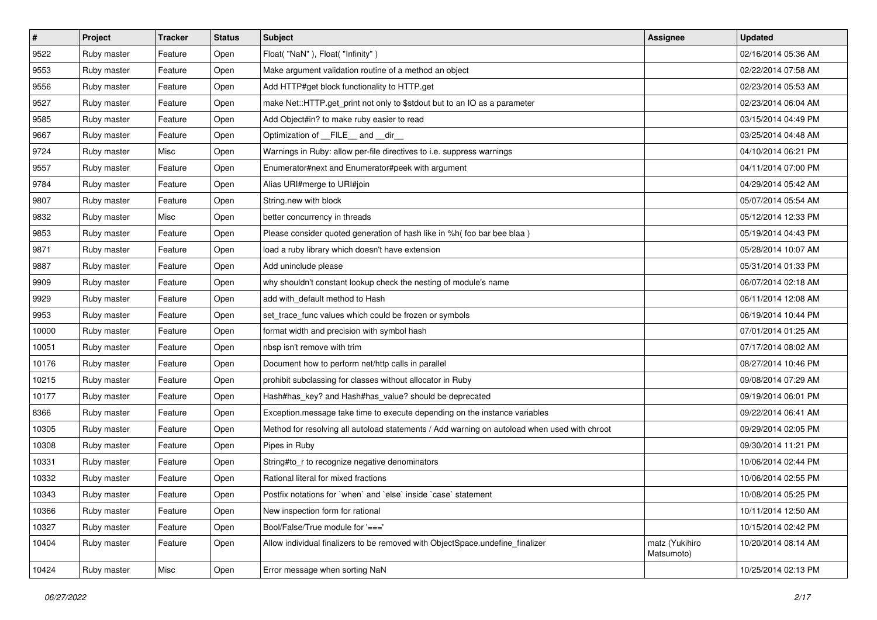| $\vert$ # | Project     | <b>Tracker</b> | <b>Status</b> | <b>Subject</b>                                                                               | Assignee                     | <b>Updated</b>      |
|-----------|-------------|----------------|---------------|----------------------------------------------------------------------------------------------|------------------------------|---------------------|
| 9522      | Ruby master | Feature        | Open          | Float("NaN"), Float("Infinity")                                                              |                              | 02/16/2014 05:36 AM |
| 9553      | Ruby master | Feature        | Open          | Make argument validation routine of a method an object                                       |                              | 02/22/2014 07:58 AM |
| 9556      | Ruby master | Feature        | Open          | Add HTTP#get block functionality to HTTP.get                                                 |                              | 02/23/2014 05:53 AM |
| 9527      | Ruby master | Feature        | Open          | make Net::HTTP.get_print not only to \$stdout but to an IO as a parameter                    |                              | 02/23/2014 06:04 AM |
| 9585      | Ruby master | Feature        | Open          | Add Object#in? to make ruby easier to read                                                   |                              | 03/15/2014 04:49 PM |
| 9667      | Ruby master | Feature        | Open          | Optimization of FILE_and _dir_                                                               |                              | 03/25/2014 04:48 AM |
| 9724      | Ruby master | Misc           | Open          | Warnings in Ruby: allow per-file directives to i.e. suppress warnings                        |                              | 04/10/2014 06:21 PM |
| 9557      | Ruby master | Feature        | Open          | Enumerator#next and Enumerator#peek with argument                                            |                              | 04/11/2014 07:00 PM |
| 9784      | Ruby master | Feature        | Open          | Alias URI#merge to URI#join                                                                  |                              | 04/29/2014 05:42 AM |
| 9807      | Ruby master | Feature        | Open          | String.new with block                                                                        |                              | 05/07/2014 05:54 AM |
| 9832      | Ruby master | Misc           | Open          | better concurrency in threads                                                                |                              | 05/12/2014 12:33 PM |
| 9853      | Ruby master | Feature        | Open          | Please consider quoted generation of hash like in %h( foo bar bee blaa)                      |                              | 05/19/2014 04:43 PM |
| 9871      | Ruby master | Feature        | Open          | load a ruby library which doesn't have extension                                             |                              | 05/28/2014 10:07 AM |
| 9887      | Ruby master | Feature        | Open          | Add uninclude please                                                                         |                              | 05/31/2014 01:33 PM |
| 9909      | Ruby master | Feature        | Open          | why shouldn't constant lookup check the nesting of module's name                             |                              | 06/07/2014 02:18 AM |
| 9929      | Ruby master | Feature        | Open          | add with_default method to Hash                                                              |                              | 06/11/2014 12:08 AM |
| 9953      | Ruby master | Feature        | Open          | set_trace_func values which could be frozen or symbols                                       |                              | 06/19/2014 10:44 PM |
| 10000     | Ruby master | Feature        | Open          | format width and precision with symbol hash                                                  |                              | 07/01/2014 01:25 AM |
| 10051     | Ruby master | Feature        | Open          | nbsp isn't remove with trim                                                                  |                              | 07/17/2014 08:02 AM |
| 10176     | Ruby master | Feature        | Open          | Document how to perform net/http calls in parallel                                           |                              | 08/27/2014 10:46 PM |
| 10215     | Ruby master | Feature        | Open          | prohibit subclassing for classes without allocator in Ruby                                   |                              | 09/08/2014 07:29 AM |
| 10177     | Ruby master | Feature        | Open          | Hash#has_key? and Hash#has_value? should be deprecated                                       |                              | 09/19/2014 06:01 PM |
| 8366      | Ruby master | Feature        | Open          | Exception.message take time to execute depending on the instance variables                   |                              | 09/22/2014 06:41 AM |
| 10305     | Ruby master | Feature        | Open          | Method for resolving all autoload statements / Add warning on autoload when used with chroot |                              | 09/29/2014 02:05 PM |
| 10308     | Ruby master | Feature        | Open          | Pipes in Ruby                                                                                |                              | 09/30/2014 11:21 PM |
| 10331     | Ruby master | Feature        | Open          | String#to_r to recognize negative denominators                                               |                              | 10/06/2014 02:44 PM |
| 10332     | Ruby master | Feature        | Open          | Rational literal for mixed fractions                                                         |                              | 10/06/2014 02:55 PM |
| 10343     | Ruby master | Feature        | Open          | Postfix notations for 'when' and 'else' inside 'case' statement                              |                              | 10/08/2014 05:25 PM |
| 10366     | Ruby master | Feature        | Open          | New inspection form for rational                                                             |                              | 10/11/2014 12:50 AM |
| 10327     | Ruby master | Feature        | Open          | Bool/False/True module for '==='                                                             |                              | 10/15/2014 02:42 PM |
| 10404     | Ruby master | Feature        | Open          | Allow individual finalizers to be removed with ObjectSpace.undefine finalizer                | matz (Yukihiro<br>Matsumoto) | 10/20/2014 08:14 AM |
| 10424     | Ruby master | Misc           | Open          | Error message when sorting NaN                                                               |                              | 10/25/2014 02:13 PM |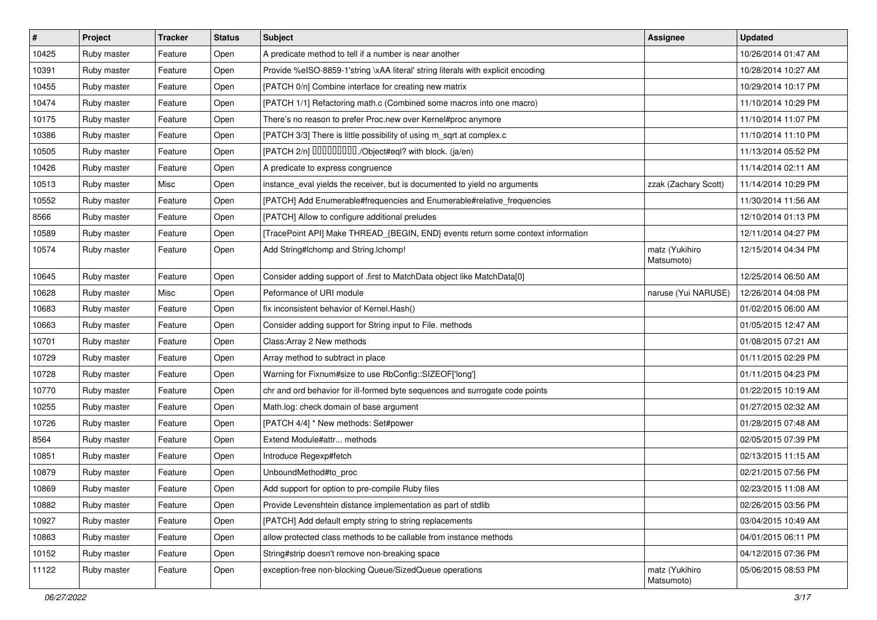| $\sharp$ | Project     | <b>Tracker</b> | <b>Status</b> | Subject                                                                          | Assignee                     | <b>Updated</b>      |
|----------|-------------|----------------|---------------|----------------------------------------------------------------------------------|------------------------------|---------------------|
| 10425    | Ruby master | Feature        | Open          | A predicate method to tell if a number is near another                           |                              | 10/26/2014 01:47 AM |
| 10391    | Ruby master | Feature        | Open          | Provide %eISO-8859-1'string \xAA literal' string literals with explicit encoding |                              | 10/28/2014 10:27 AM |
| 10455    | Ruby master | Feature        | Open          | [PATCH 0/n] Combine interface for creating new matrix                            |                              | 10/29/2014 10:17 PM |
| 10474    | Ruby master | Feature        | Open          | [PATCH 1/1] Refactoring math.c (Combined some macros into one macro)             |                              | 11/10/2014 10:29 PM |
| 10175    | Ruby master | Feature        | Open          | There's no reason to prefer Proc.new over Kernel#proc anymore                    |                              | 11/10/2014 11:07 PM |
| 10386    | Ruby master | Feature        | Open          | [PATCH 3/3] There is little possibility of using m_sqrt at complex.c             |                              | 11/10/2014 11:10 PM |
| 10505    | Ruby master | Feature        | Open          | [PATCH 2/n] DDDDDDDD./Object#eql? with block. (ja/en)                            |                              | 11/13/2014 05:52 PM |
| 10426    | Ruby master | Feature        | Open          | A predicate to express congruence                                                |                              | 11/14/2014 02:11 AM |
| 10513    | Ruby master | Misc           | Open          | instance_eval yields the receiver, but is documented to yield no arguments       | zzak (Zachary Scott)         | 11/14/2014 10:29 PM |
| 10552    | Ruby master | Feature        | Open          | [PATCH] Add Enumerable#frequencies and Enumerable#relative_frequencies           |                              | 11/30/2014 11:56 AM |
| 8566     | Ruby master | Feature        | Open          | [PATCH] Allow to configure additional preludes                                   |                              | 12/10/2014 01:13 PM |
| 10589    | Ruby master | Feature        | Open          | [TracePoint API] Make THREAD_{BEGIN, END} events return some context information |                              | 12/11/2014 04:27 PM |
| 10574    | Ruby master | Feature        | Open          | Add String#Ichomp and String.Ichomp!                                             | matz (Yukihiro<br>Matsumoto) | 12/15/2014 04:34 PM |
| 10645    | Ruby master | Feature        | Open          | Consider adding support of .first to MatchData object like MatchData[0]          |                              | 12/25/2014 06:50 AM |
| 10628    | Ruby master | Misc           | Open          | Peformance of URI module                                                         | naruse (Yui NARUSE)          | 12/26/2014 04:08 PM |
| 10683    | Ruby master | Feature        | Open          | fix inconsistent behavior of Kernel. Hash()                                      |                              | 01/02/2015 06:00 AM |
| 10663    | Ruby master | Feature        | Open          | Consider adding support for String input to File. methods                        |                              | 01/05/2015 12:47 AM |
| 10701    | Ruby master | Feature        | Open          | Class: Array 2 New methods                                                       |                              | 01/08/2015 07:21 AM |
| 10729    | Ruby master | Feature        | Open          | Array method to subtract in place                                                |                              | 01/11/2015 02:29 PM |
| 10728    | Ruby master | Feature        | Open          | Warning for Fixnum#size to use RbConfig::SIZEOF['long']                          |                              | 01/11/2015 04:23 PM |
| 10770    | Ruby master | Feature        | Open          | chr and ord behavior for ill-formed byte sequences and surrogate code points     |                              | 01/22/2015 10:19 AM |
| 10255    | Ruby master | Feature        | Open          | Math.log: check domain of base argument                                          |                              | 01/27/2015 02:32 AM |
| 10726    | Ruby master | Feature        | Open          | [PATCH 4/4] * New methods: Set#power                                             |                              | 01/28/2015 07:48 AM |
| 8564     | Ruby master | Feature        | Open          | Extend Module#attr methods                                                       |                              | 02/05/2015 07:39 PM |
| 10851    | Ruby master | Feature        | Open          | Introduce Regexp#fetch                                                           |                              | 02/13/2015 11:15 AM |
| 10879    | Ruby master | Feature        | Open          | UnboundMethod#to_proc                                                            |                              | 02/21/2015 07:56 PM |
| 10869    | Ruby master | Feature        | Open          | Add support for option to pre-compile Ruby files                                 |                              | 02/23/2015 11:08 AM |
| 10882    | Ruby master | Feature        | Open          | Provide Levenshtein distance implementation as part of stdlib                    |                              | 02/26/2015 03:56 PM |
| 10927    | Ruby master | Feature        | Open          | [PATCH] Add default empty string to string replacements                          |                              | 03/04/2015 10:49 AM |
| 10863    | Ruby master | Feature        | Open          | allow protected class methods to be callable from instance methods               |                              | 04/01/2015 06:11 PM |
| 10152    | Ruby master | Feature        | Open          | String#strip doesn't remove non-breaking space                                   |                              | 04/12/2015 07:36 PM |
| 11122    | Ruby master | Feature        | Open          | exception-free non-blocking Queue/SizedQueue operations                          | matz (Yukihiro<br>Matsumoto) | 05/06/2015 08:53 PM |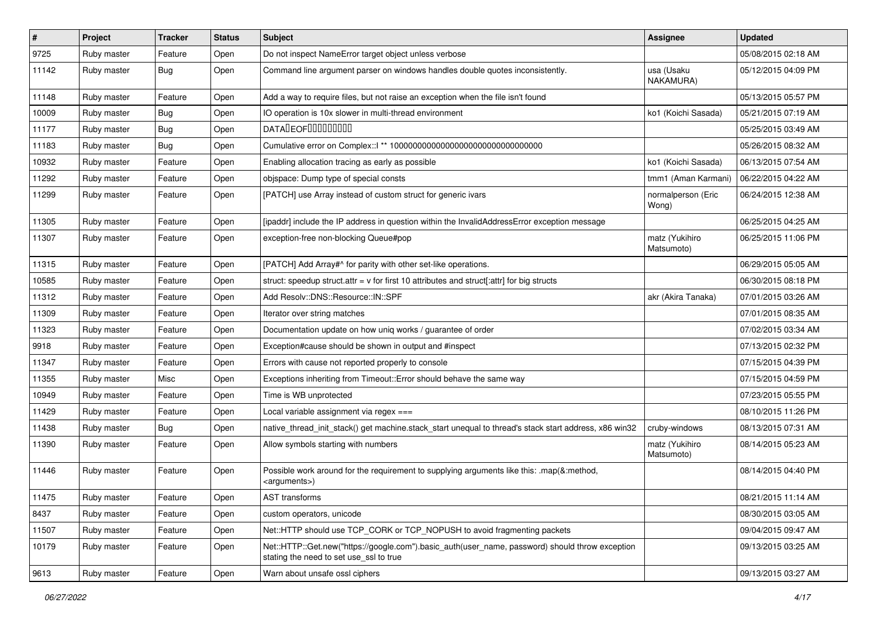| $\vert$ # | Project     | <b>Tracker</b> | <b>Status</b> | Subject                                                                                                                                    | Assignee                     | <b>Updated</b>      |
|-----------|-------------|----------------|---------------|--------------------------------------------------------------------------------------------------------------------------------------------|------------------------------|---------------------|
| 9725      | Ruby master | Feature        | Open          | Do not inspect NameError target object unless verbose                                                                                      |                              | 05/08/2015 02:18 AM |
| 11142     | Ruby master | <b>Bug</b>     | Open          | Command line argument parser on windows handles double quotes inconsistently.                                                              | usa (Usaku<br>NAKAMURA)      | 05/12/2015 04:09 PM |
| 11148     | Ruby master | Feature        | Open          | Add a way to require files, but not raise an exception when the file isn't found                                                           |                              | 05/13/2015 05:57 PM |
| 10009     | Ruby master | <b>Bug</b>     | Open          | IO operation is 10x slower in multi-thread environment                                                                                     | ko1 (Koichi Sasada)          | 05/21/2015 07:19 AM |
| 11177     | Ruby master | <b>Bug</b>     | Open          | DATALEOFILLLLLLLLLL                                                                                                                        |                              | 05/25/2015 03:49 AM |
| 11183     | Ruby master | <b>Bug</b>     | Open          |                                                                                                                                            |                              | 05/26/2015 08:32 AM |
| 10932     | Ruby master | Feature        | Open          | Enabling allocation tracing as early as possible                                                                                           | ko1 (Koichi Sasada)          | 06/13/2015 07:54 AM |
| 11292     | Ruby master | Feature        | Open          | objspace: Dump type of special consts                                                                                                      | tmm1 (Aman Karmani)          | 06/22/2015 04:22 AM |
| 11299     | Ruby master | Feature        | Open          | [PATCH] use Array instead of custom struct for generic ivars                                                                               | normalperson (Eric<br>Wong)  | 06/24/2015 12:38 AM |
| 11305     | Ruby master | Feature        | Open          | [ipaddr] include the IP address in question within the InvalidAddressError exception message                                               |                              | 06/25/2015 04:25 AM |
| 11307     | Ruby master | Feature        | Open          | exception-free non-blocking Queue#pop                                                                                                      | matz (Yukihiro<br>Matsumoto) | 06/25/2015 11:06 PM |
| 11315     | Ruby master | Feature        | Open          | [PATCH] Add Array#^ for parity with other set-like operations.                                                                             |                              | 06/29/2015 05:05 AM |
| 10585     | Ruby master | Feature        | Open          | struct: speedup struct.attr = $v$ for first 10 attributes and struct[:attr] for big structs                                                |                              | 06/30/2015 08:18 PM |
| 11312     | Ruby master | Feature        | Open          | Add Resolv::DNS::Resource::IN::SPF                                                                                                         | akr (Akira Tanaka)           | 07/01/2015 03:26 AM |
| 11309     | Ruby master | Feature        | Open          | Iterator over string matches                                                                                                               |                              | 07/01/2015 08:35 AM |
| 11323     | Ruby master | Feature        | Open          | Documentation update on how uniq works / guarantee of order                                                                                |                              | 07/02/2015 03:34 AM |
| 9918      | Ruby master | Feature        | Open          | Exception#cause should be shown in output and #inspect                                                                                     |                              | 07/13/2015 02:32 PM |
| 11347     | Ruby master | Feature        | Open          | Errors with cause not reported properly to console                                                                                         |                              | 07/15/2015 04:39 PM |
| 11355     | Ruby master | Misc           | Open          | Exceptions inheriting from Timeout:: Error should behave the same way                                                                      |                              | 07/15/2015 04:59 PM |
| 10949     | Ruby master | Feature        | Open          | Time is WB unprotected                                                                                                                     |                              | 07/23/2015 05:55 PM |
| 11429     | Ruby master | Feature        | Open          | Local variable assignment via regex ===                                                                                                    |                              | 08/10/2015 11:26 PM |
| 11438     | Ruby master | <b>Bug</b>     | Open          | native_thread_init_stack() get machine.stack_start unequal to thread's stack start address, x86 win32                                      | cruby-windows                | 08/13/2015 07:31 AM |
| 11390     | Ruby master | Feature        | Open          | Allow symbols starting with numbers                                                                                                        | matz (Yukihiro<br>Matsumoto) | 08/14/2015 05:23 AM |
| 11446     | Ruby master | Feature        | Open          | Possible work around for the requirement to supplying arguments like this: .map(&:method,<br><arguments>)</arguments>                      |                              | 08/14/2015 04:40 PM |
| 11475     | Ruby master | Feature        | Open          | AST transforms                                                                                                                             |                              | 08/21/2015 11:14 AM |
| 8437      | Ruby master | Feature        | Open          | custom operators, unicode                                                                                                                  |                              | 08/30/2015 03:05 AM |
| 11507     | Ruby master | Feature        | Open          | Net::HTTP should use TCP CORK or TCP NOPUSH to avoid fragmenting packets                                                                   |                              | 09/04/2015 09:47 AM |
| 10179     | Ruby master | Feature        | Open          | Net::HTTP::Get.new("https://google.com").basic_auth(user_name, password) should throw exception<br>stating the need to set use ssl to true |                              | 09/13/2015 03:25 AM |
| 9613      | Ruby master | Feature        | Open          | Warn about unsafe ossl ciphers                                                                                                             |                              | 09/13/2015 03:27 AM |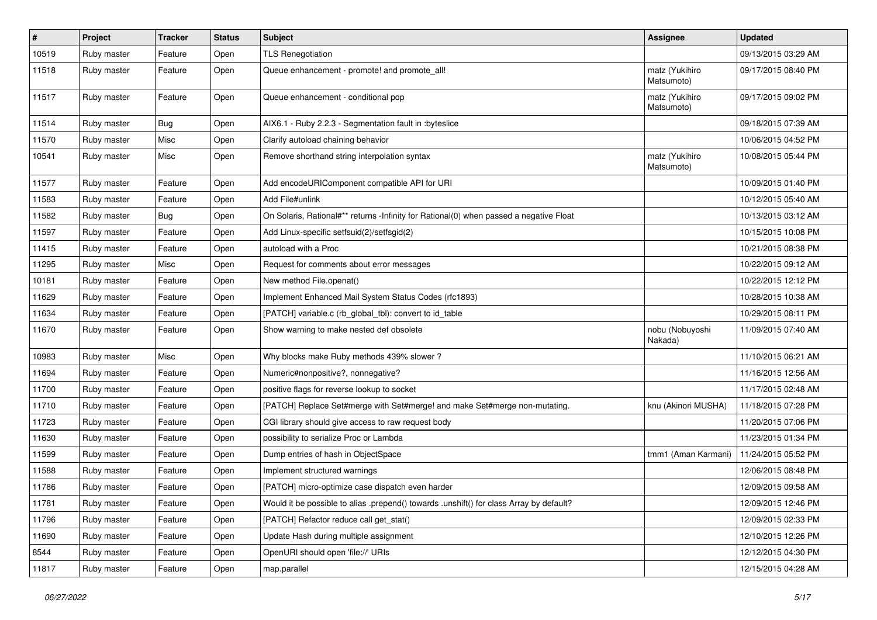| #     | Project     | <b>Tracker</b> | <b>Status</b> | <b>Subject</b>                                                                          | <b>Assignee</b>              | <b>Updated</b>      |
|-------|-------------|----------------|---------------|-----------------------------------------------------------------------------------------|------------------------------|---------------------|
| 10519 | Ruby master | Feature        | Open          | <b>TLS Renegotiation</b>                                                                |                              | 09/13/2015 03:29 AM |
| 11518 | Ruby master | Feature        | Open          | Queue enhancement - promote! and promote_all!                                           | matz (Yukihiro<br>Matsumoto) | 09/17/2015 08:40 PM |
| 11517 | Ruby master | Feature        | Open          | Queue enhancement - conditional pop                                                     | matz (Yukihiro<br>Matsumoto) | 09/17/2015 09:02 PM |
| 11514 | Ruby master | <b>Bug</b>     | Open          | AIX6.1 - Ruby 2.2.3 - Segmentation fault in :byteslice                                  |                              | 09/18/2015 07:39 AM |
| 11570 | Ruby master | Misc           | Open          | Clarify autoload chaining behavior                                                      |                              | 10/06/2015 04:52 PM |
| 10541 | Ruby master | Misc           | Open          | Remove shorthand string interpolation syntax                                            | matz (Yukihiro<br>Matsumoto) | 10/08/2015 05:44 PM |
| 11577 | Ruby master | Feature        | Open          | Add encodeURIComponent compatible API for URI                                           |                              | 10/09/2015 01:40 PM |
| 11583 | Ruby master | Feature        | Open          | Add File#unlink                                                                         |                              | 10/12/2015 05:40 AM |
| 11582 | Ruby master | <b>Bug</b>     | Open          | On Solaris, Rational#** returns -Infinity for Rational(0) when passed a negative Float  |                              | 10/13/2015 03:12 AM |
| 11597 | Ruby master | Feature        | Open          | Add Linux-specific setfsuid(2)/setfsgid(2)                                              |                              | 10/15/2015 10:08 PM |
| 11415 | Ruby master | Feature        | Open          | autoload with a Proc                                                                    |                              | 10/21/2015 08:38 PM |
| 11295 | Ruby master | Misc           | Open          | Request for comments about error messages                                               |                              | 10/22/2015 09:12 AM |
| 10181 | Ruby master | Feature        | Open          | New method File.openat()                                                                |                              | 10/22/2015 12:12 PM |
| 11629 | Ruby master | Feature        | Open          | Implement Enhanced Mail System Status Codes (rfc1893)                                   |                              | 10/28/2015 10:38 AM |
| 11634 | Ruby master | Feature        | Open          | [PATCH] variable.c (rb_global_tbl): convert to id_table                                 |                              | 10/29/2015 08:11 PM |
| 11670 | Ruby master | Feature        | Open          | Show warning to make nested def obsolete                                                | nobu (Nobuyoshi<br>Nakada)   | 11/09/2015 07:40 AM |
| 10983 | Ruby master | Misc           | Open          | Why blocks make Ruby methods 439% slower?                                               |                              | 11/10/2015 06:21 AM |
| 11694 | Ruby master | Feature        | Open          | Numeric#nonpositive?, nonnegative?                                                      |                              | 11/16/2015 12:56 AM |
| 11700 | Ruby master | Feature        | Open          | positive flags for reverse lookup to socket                                             |                              | 11/17/2015 02:48 AM |
| 11710 | Ruby master | Feature        | Open          | [PATCH] Replace Set#merge with Set#merge! and make Set#merge non-mutating.              | knu (Akinori MUSHA)          | 11/18/2015 07:28 PM |
| 11723 | Ruby master | Feature        | Open          | CGI library should give access to raw request body                                      |                              | 11/20/2015 07:06 PM |
| 11630 | Ruby master | Feature        | Open          | possibility to serialize Proc or Lambda                                                 |                              | 11/23/2015 01:34 PM |
| 11599 | Ruby master | Feature        | Open          | Dump entries of hash in ObjectSpace                                                     | tmm1 (Aman Karmani)          | 11/24/2015 05:52 PM |
| 11588 | Ruby master | Feature        | Open          | Implement structured warnings                                                           |                              | 12/06/2015 08:48 PM |
| 11786 | Ruby master | Feature        | Open          | [PATCH] micro-optimize case dispatch even harder                                        |                              | 12/09/2015 09:58 AM |
| 11781 | Ruby master | Feature        | Open          | Would it be possible to alias .prepend() towards .unshift() for class Array by default? |                              | 12/09/2015 12:46 PM |
| 11796 | Ruby master | Feature        | Open          | [PATCH] Refactor reduce call get_stat()                                                 |                              | 12/09/2015 02:33 PM |
| 11690 | Ruby master | Feature        | Open          | Update Hash during multiple assignment                                                  |                              | 12/10/2015 12:26 PM |
| 8544  | Ruby master | Feature        | Open          | OpenURI should open 'file://' URIs                                                      |                              | 12/12/2015 04:30 PM |
| 11817 | Ruby master | Feature        | Open          | map.parallel                                                                            |                              | 12/15/2015 04:28 AM |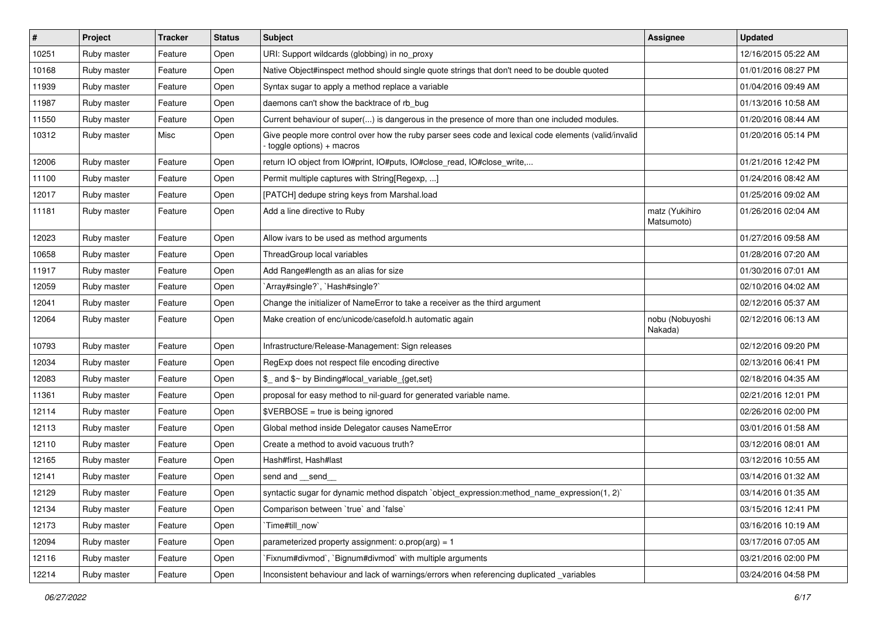| $\vert$ # | Project     | <b>Tracker</b> | <b>Status</b> | Subject                                                                                                                          | Assignee                     | <b>Updated</b>      |
|-----------|-------------|----------------|---------------|----------------------------------------------------------------------------------------------------------------------------------|------------------------------|---------------------|
| 10251     | Ruby master | Feature        | Open          | URI: Support wildcards (globbing) in no_proxy                                                                                    |                              | 12/16/2015 05:22 AM |
| 10168     | Ruby master | Feature        | Open          | Native Object#inspect method should single quote strings that don't need to be double quoted                                     |                              | 01/01/2016 08:27 PM |
| 11939     | Ruby master | Feature        | Open          | Syntax sugar to apply a method replace a variable                                                                                |                              | 01/04/2016 09:49 AM |
| 11987     | Ruby master | Feature        | Open          | daemons can't show the backtrace of rb_bug                                                                                       |                              | 01/13/2016 10:58 AM |
| 11550     | Ruby master | Feature        | Open          | Current behaviour of super() is dangerous in the presence of more than one included modules.                                     |                              | 01/20/2016 08:44 AM |
| 10312     | Ruby master | Misc           | Open          | Give people more control over how the ruby parser sees code and lexical code elements (valid/invalid<br>toggle options) + macros |                              | 01/20/2016 05:14 PM |
| 12006     | Ruby master | Feature        | Open          | return IO object from IO#print, IO#puts, IO#close_read, IO#close_write,                                                          |                              | 01/21/2016 12:42 PM |
| 11100     | Ruby master | Feature        | Open          | Permit multiple captures with String[Regexp, ]                                                                                   |                              | 01/24/2016 08:42 AM |
| 12017     | Ruby master | Feature        | Open          | [PATCH] dedupe string keys from Marshal.load                                                                                     |                              | 01/25/2016 09:02 AM |
| 11181     | Ruby master | Feature        | Open          | Add a line directive to Ruby                                                                                                     | matz (Yukihiro<br>Matsumoto) | 01/26/2016 02:04 AM |
| 12023     | Ruby master | Feature        | Open          | Allow ivars to be used as method arguments                                                                                       |                              | 01/27/2016 09:58 AM |
| 10658     | Ruby master | Feature        | Open          | ThreadGroup local variables                                                                                                      |                              | 01/28/2016 07:20 AM |
| 11917     | Ruby master | Feature        | Open          | Add Range#length as an alias for size                                                                                            |                              | 01/30/2016 07:01 AM |
| 12059     | Ruby master | Feature        | Open          | 'Array#single?', 'Hash#single?'                                                                                                  |                              | 02/10/2016 04:02 AM |
| 12041     | Ruby master | Feature        | Open          | Change the initializer of NameError to take a receiver as the third argument                                                     |                              | 02/12/2016 05:37 AM |
| 12064     | Ruby master | Feature        | Open          | Make creation of enc/unicode/casefold.h automatic again                                                                          | nobu (Nobuyoshi<br>Nakada)   | 02/12/2016 06:13 AM |
| 10793     | Ruby master | Feature        | Open          | Infrastructure/Release-Management: Sign releases                                                                                 |                              | 02/12/2016 09:20 PM |
| 12034     | Ruby master | Feature        | Open          | RegExp does not respect file encoding directive                                                                                  |                              | 02/13/2016 06:41 PM |
| 12083     | Ruby master | Feature        | Open          | \$_ and \$~ by Binding#local_variable_{get,set}                                                                                  |                              | 02/18/2016 04:35 AM |
| 11361     | Ruby master | Feature        | Open          | proposal for easy method to nil-guard for generated variable name.                                                               |                              | 02/21/2016 12:01 PM |
| 12114     | Ruby master | Feature        | Open          | $\texttt{SVERBOSE}$ = true is being ignored                                                                                      |                              | 02/26/2016 02:00 PM |
| 12113     | Ruby master | Feature        | Open          | Global method inside Delegator causes NameError                                                                                  |                              | 03/01/2016 01:58 AM |
| 12110     | Ruby master | Feature        | Open          | Create a method to avoid vacuous truth?                                                                                          |                              | 03/12/2016 08:01 AM |
| 12165     | Ruby master | Feature        | Open          | Hash#first, Hash#last                                                                                                            |                              | 03/12/2016 10:55 AM |
| 12141     | Ruby master | Feature        | Open          | send and __send_                                                                                                                 |                              | 03/14/2016 01:32 AM |
| 12129     | Ruby master | Feature        | Open          | syntactic sugar for dynamic method dispatch `object_expression:method_name_expression(1, 2)`                                     |                              | 03/14/2016 01:35 AM |
| 12134     | Ruby master | Feature        | Open          | Comparison between 'true' and 'false'                                                                                            |                              | 03/15/2016 12:41 PM |
| 12173     | Ruby master | Feature        | Open          | Time#till_now`                                                                                                                   |                              | 03/16/2016 10:19 AM |
| 12094     | Ruby master | Feature        | Open          | parameterized property assignment: $o.prop(arg) = 1$                                                                             |                              | 03/17/2016 07:05 AM |
| 12116     | Ruby master | Feature        | Open          | Fixnum#divmod`, `Bignum#divmod` with multiple arguments                                                                          |                              | 03/21/2016 02:00 PM |
| 12214     | Ruby master | Feature        | Open          | Inconsistent behaviour and lack of warnings/errors when referencing duplicated _variables                                        |                              | 03/24/2016 04:58 PM |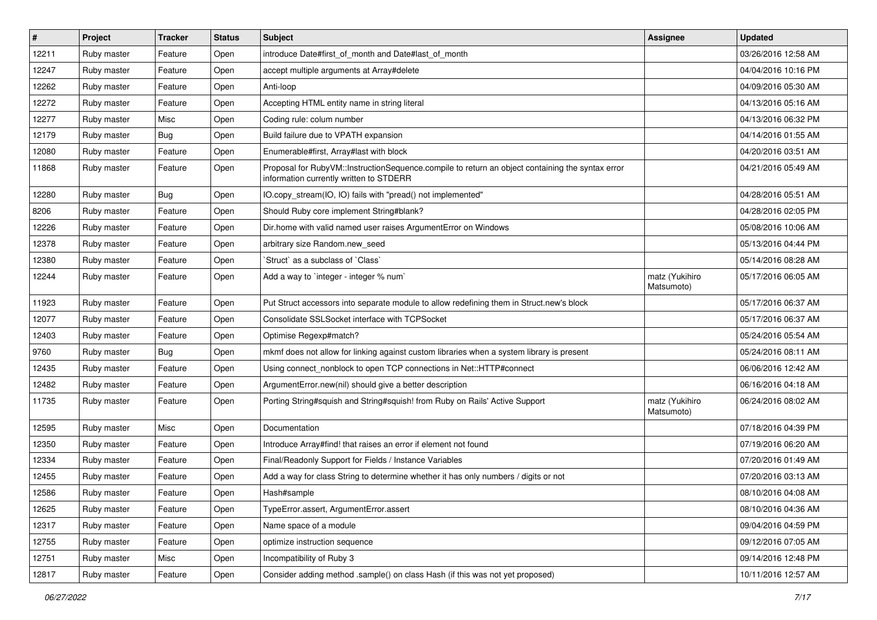| $\sharp$ | Project     | <b>Tracker</b> | <b>Status</b> | <b>Subject</b>                                                                                                                              | <b>Assignee</b>              | <b>Updated</b>      |
|----------|-------------|----------------|---------------|---------------------------------------------------------------------------------------------------------------------------------------------|------------------------------|---------------------|
| 12211    | Ruby master | Feature        | Open          | introduce Date#first_of_month and Date#last_of_month                                                                                        |                              | 03/26/2016 12:58 AM |
| 12247    | Ruby master | Feature        | Open          | accept multiple arguments at Array#delete                                                                                                   |                              | 04/04/2016 10:16 PM |
| 12262    | Ruby master | Feature        | Open          | Anti-loop                                                                                                                                   |                              | 04/09/2016 05:30 AM |
| 12272    | Ruby master | Feature        | Open          | Accepting HTML entity name in string literal                                                                                                |                              | 04/13/2016 05:16 AM |
| 12277    | Ruby master | Misc           | Open          | Coding rule: colum number                                                                                                                   |                              | 04/13/2016 06:32 PM |
| 12179    | Ruby master | <b>Bug</b>     | Open          | Build failure due to VPATH expansion                                                                                                        |                              | 04/14/2016 01:55 AM |
| 12080    | Ruby master | Feature        | Open          | Enumerable#first, Array#last with block                                                                                                     |                              | 04/20/2016 03:51 AM |
| 11868    | Ruby master | Feature        | Open          | Proposal for RubyVM::InstructionSequence.compile to return an object containing the syntax error<br>information currently written to STDERR |                              | 04/21/2016 05:49 AM |
| 12280    | Ruby master | <b>Bug</b>     | Open          | IO.copy_stream(IO, IO) fails with "pread() not implemented"                                                                                 |                              | 04/28/2016 05:51 AM |
| 8206     | Ruby master | Feature        | Open          | Should Ruby core implement String#blank?                                                                                                    |                              | 04/28/2016 02:05 PM |
| 12226    | Ruby master | Feature        | Open          | Dir.home with valid named user raises ArgumentError on Windows                                                                              |                              | 05/08/2016 10:06 AM |
| 12378    | Ruby master | Feature        | Open          | arbitrary size Random.new seed                                                                                                              |                              | 05/13/2016 04:44 PM |
| 12380    | Ruby master | Feature        | Open          | 'Struct' as a subclass of 'Class'                                                                                                           |                              | 05/14/2016 08:28 AM |
| 12244    | Ruby master | Feature        | Open          | Add a way to `integer - integer % num`                                                                                                      | matz (Yukihiro<br>Matsumoto) | 05/17/2016 06:05 AM |
| 11923    | Ruby master | Feature        | Open          | Put Struct accessors into separate module to allow redefining them in Struct.new's block                                                    |                              | 05/17/2016 06:37 AM |
| 12077    | Ruby master | Feature        | Open          | Consolidate SSLSocket interface with TCPSocket                                                                                              |                              | 05/17/2016 06:37 AM |
| 12403    | Ruby master | Feature        | Open          | Optimise Regexp#match?                                                                                                                      |                              | 05/24/2016 05:54 AM |
| 9760     | Ruby master | <b>Bug</b>     | Open          | mkmf does not allow for linking against custom libraries when a system library is present                                                   |                              | 05/24/2016 08:11 AM |
| 12435    | Ruby master | Feature        | Open          | Using connect_nonblock to open TCP connections in Net::HTTP#connect                                                                         |                              | 06/06/2016 12:42 AM |
| 12482    | Ruby master | Feature        | Open          | ArgumentError.new(nil) should give a better description                                                                                     |                              | 06/16/2016 04:18 AM |
| 11735    | Ruby master | Feature        | Open          | Porting String#squish and String#squish! from Ruby on Rails' Active Support                                                                 | matz (Yukihiro<br>Matsumoto) | 06/24/2016 08:02 AM |
| 12595    | Ruby master | Misc           | Open          | Documentation                                                                                                                               |                              | 07/18/2016 04:39 PM |
| 12350    | Ruby master | Feature        | Open          | Introduce Array#find! that raises an error if element not found                                                                             |                              | 07/19/2016 06:20 AM |
| 12334    | Ruby master | Feature        | Open          | Final/Readonly Support for Fields / Instance Variables                                                                                      |                              | 07/20/2016 01:49 AM |
| 12455    | Ruby master | Feature        | Open          | Add a way for class String to determine whether it has only numbers / digits or not                                                         |                              | 07/20/2016 03:13 AM |
| 12586    | Ruby master | Feature        | Open          | Hash#sample                                                                                                                                 |                              | 08/10/2016 04:08 AM |
| 12625    | Ruby master | Feature        | Open          | TypeError.assert, ArgumentError.assert                                                                                                      |                              | 08/10/2016 04:36 AM |
| 12317    | Ruby master | Feature        | Open          | Name space of a module                                                                                                                      |                              | 09/04/2016 04:59 PM |
| 12755    | Ruby master | Feature        | Open          | optimize instruction sequence                                                                                                               |                              | 09/12/2016 07:05 AM |
| 12751    | Ruby master | Misc           | Open          | Incompatibility of Ruby 3                                                                                                                   |                              | 09/14/2016 12:48 PM |
| 12817    | Ruby master | Feature        | Open          | Consider adding method .sample() on class Hash (if this was not yet proposed)                                                               |                              | 10/11/2016 12:57 AM |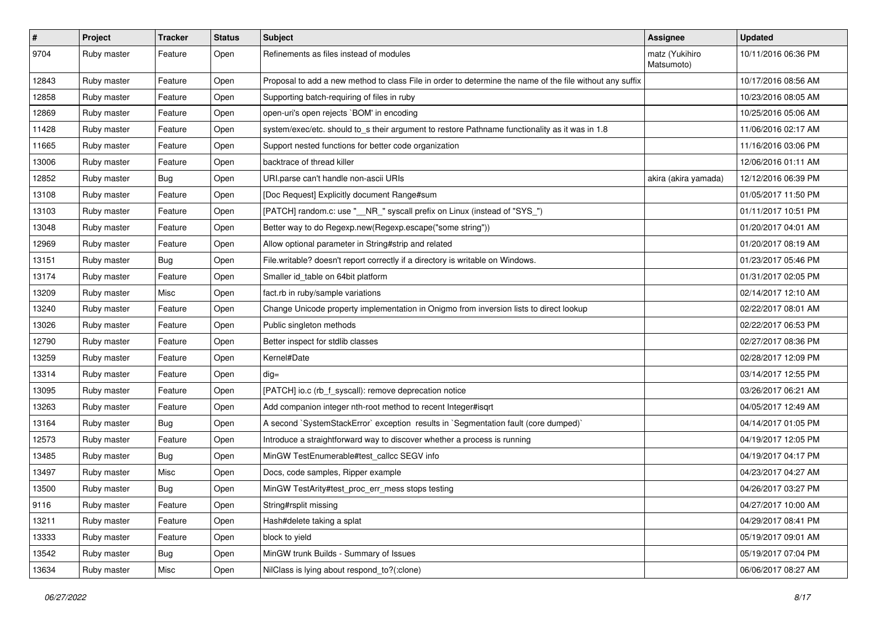| #     | Project     | <b>Tracker</b> | <b>Status</b> | <b>Subject</b>                                                                                           | <b>Assignee</b>              | <b>Updated</b>      |
|-------|-------------|----------------|---------------|----------------------------------------------------------------------------------------------------------|------------------------------|---------------------|
| 9704  | Ruby master | Feature        | Open          | Refinements as files instead of modules                                                                  | matz (Yukihiro<br>Matsumoto) | 10/11/2016 06:36 PM |
| 12843 | Ruby master | Feature        | Open          | Proposal to add a new method to class File in order to determine the name of the file without any suffix |                              | 10/17/2016 08:56 AM |
| 12858 | Ruby master | Feature        | Open          | Supporting batch-requiring of files in ruby                                                              |                              | 10/23/2016 08:05 AM |
| 12869 | Ruby master | Feature        | Open          | open-uri's open rejects `BOM' in encoding                                                                |                              | 10/25/2016 05:06 AM |
| 11428 | Ruby master | Feature        | Open          | system/exec/etc. should to_s their argument to restore Pathname functionality as it was in 1.8           |                              | 11/06/2016 02:17 AM |
| 11665 | Ruby master | Feature        | Open          | Support nested functions for better code organization                                                    |                              | 11/16/2016 03:06 PM |
| 13006 | Ruby master | Feature        | Open          | backtrace of thread killer                                                                               |                              | 12/06/2016 01:11 AM |
| 12852 | Ruby master | <b>Bug</b>     | Open          | URI.parse can't handle non-ascii URIs                                                                    | akira (akira yamada)         | 12/12/2016 06:39 PM |
| 13108 | Ruby master | Feature        | Open          | [Doc Request] Explicitly document Range#sum                                                              |                              | 01/05/2017 11:50 PM |
| 13103 | Ruby master | Feature        | Open          | [PATCH] random.c: use "__NR_" syscall prefix on Linux (instead of "SYS_")                                |                              | 01/11/2017 10:51 PM |
| 13048 | Ruby master | Feature        | Open          | Better way to do Regexp.new(Regexp.escape("some string"))                                                |                              | 01/20/2017 04:01 AM |
| 12969 | Ruby master | Feature        | Open          | Allow optional parameter in String#strip and related                                                     |                              | 01/20/2017 08:19 AM |
| 13151 | Ruby master | <b>Bug</b>     | Open          | File.writable? doesn't report correctly if a directory is writable on Windows.                           |                              | 01/23/2017 05:46 PM |
| 13174 | Ruby master | Feature        | Open          | Smaller id_table on 64bit platform                                                                       |                              | 01/31/2017 02:05 PM |
| 13209 | Ruby master | Misc           | Open          | fact.rb in ruby/sample variations                                                                        |                              | 02/14/2017 12:10 AM |
| 13240 | Ruby master | Feature        | Open          | Change Unicode property implementation in Onigmo from inversion lists to direct lookup                   |                              | 02/22/2017 08:01 AM |
| 13026 | Ruby master | Feature        | Open          | Public singleton methods                                                                                 |                              | 02/22/2017 06:53 PM |
| 12790 | Ruby master | Feature        | Open          | Better inspect for stdlib classes                                                                        |                              | 02/27/2017 08:36 PM |
| 13259 | Ruby master | Feature        | Open          | Kernel#Date                                                                                              |                              | 02/28/2017 12:09 PM |
| 13314 | Ruby master | Feature        | Open          | $dig =$                                                                                                  |                              | 03/14/2017 12:55 PM |
| 13095 | Ruby master | Feature        | Open          | [PATCH] io.c (rb_f_syscall): remove deprecation notice                                                   |                              | 03/26/2017 06:21 AM |
| 13263 | Ruby master | Feature        | Open          | Add companion integer nth-root method to recent Integer#isqrt                                            |                              | 04/05/2017 12:49 AM |
| 13164 | Ruby master | <b>Bug</b>     | Open          | A second `SystemStackError` exception results in `Segmentation fault (core dumped)`                      |                              | 04/14/2017 01:05 PM |
| 12573 | Ruby master | Feature        | Open          | Introduce a straightforward way to discover whether a process is running                                 |                              | 04/19/2017 12:05 PM |
| 13485 | Ruby master | <b>Bug</b>     | Open          | MinGW TestEnumerable#test_callcc SEGV info                                                               |                              | 04/19/2017 04:17 PM |
| 13497 | Ruby master | Misc           | Open          | Docs, code samples, Ripper example                                                                       |                              | 04/23/2017 04:27 AM |
| 13500 | Ruby master | <b>Bug</b>     | Open          | MinGW TestArity#test_proc_err_mess stops testing                                                         |                              | 04/26/2017 03:27 PM |
| 9116  | Ruby master | Feature        | Open          | String#rsplit missing                                                                                    |                              | 04/27/2017 10:00 AM |
| 13211 | Ruby master | Feature        | Open          | Hash#delete taking a splat                                                                               |                              | 04/29/2017 08:41 PM |
| 13333 | Ruby master | Feature        | Open          | block to yield                                                                                           |                              | 05/19/2017 09:01 AM |
| 13542 | Ruby master | <b>Bug</b>     | Open          | MinGW trunk Builds - Summary of Issues                                                                   |                              | 05/19/2017 07:04 PM |
| 13634 | Ruby master | Misc           | Open          | NilClass is lying about respond_to?(:clone)                                                              |                              | 06/06/2017 08:27 AM |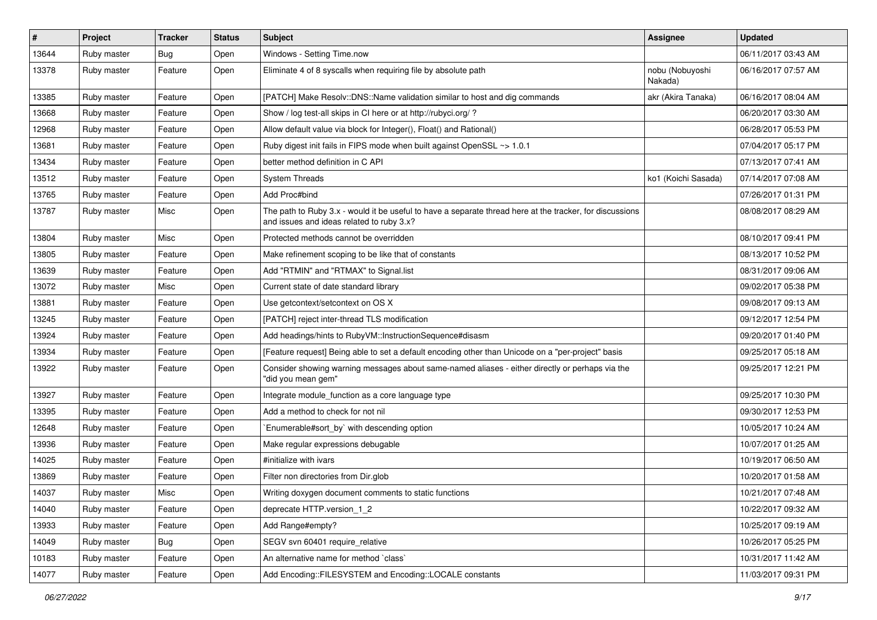| $\vert$ # | Project     | <b>Tracker</b> | <b>Status</b> | Subject                                                                                                                                               | Assignee                   | <b>Updated</b>      |
|-----------|-------------|----------------|---------------|-------------------------------------------------------------------------------------------------------------------------------------------------------|----------------------------|---------------------|
| 13644     | Ruby master | Bug            | Open          | Windows - Setting Time.now                                                                                                                            |                            | 06/11/2017 03:43 AM |
| 13378     | Ruby master | Feature        | Open          | Eliminate 4 of 8 syscalls when requiring file by absolute path                                                                                        | nobu (Nobuyoshi<br>Nakada) | 06/16/2017 07:57 AM |
| 13385     | Ruby master | Feature        | Open          | [PATCH] Make Resolv::DNS::Name validation similar to host and dig commands                                                                            | akr (Akira Tanaka)         | 06/16/2017 08:04 AM |
| 13668     | Ruby master | Feature        | Open          | Show / log test-all skips in CI here or at http://rubyci.org/ ?                                                                                       |                            | 06/20/2017 03:30 AM |
| 12968     | Ruby master | Feature        | Open          | Allow default value via block for Integer(), Float() and Rational()                                                                                   |                            | 06/28/2017 05:53 PM |
| 13681     | Ruby master | Feature        | Open          | Ruby digest init fails in FIPS mode when built against OpenSSL ~> 1.0.1                                                                               |                            | 07/04/2017 05:17 PM |
| 13434     | Ruby master | Feature        | Open          | better method definition in C API                                                                                                                     |                            | 07/13/2017 07:41 AM |
| 13512     | Ruby master | Feature        | Open          | <b>System Threads</b>                                                                                                                                 | ko1 (Koichi Sasada)        | 07/14/2017 07:08 AM |
| 13765     | Ruby master | Feature        | Open          | Add Proc#bind                                                                                                                                         |                            | 07/26/2017 01:31 PM |
| 13787     | Ruby master | Misc           | Open          | The path to Ruby 3.x - would it be useful to have a separate thread here at the tracker, for discussions<br>and issues and ideas related to ruby 3.x? |                            | 08/08/2017 08:29 AM |
| 13804     | Ruby master | Misc           | Open          | Protected methods cannot be overridden                                                                                                                |                            | 08/10/2017 09:41 PM |
| 13805     | Ruby master | Feature        | Open          | Make refinement scoping to be like that of constants                                                                                                  |                            | 08/13/2017 10:52 PM |
| 13639     | Ruby master | Feature        | Open          | Add "RTMIN" and "RTMAX" to Signal.list                                                                                                                |                            | 08/31/2017 09:06 AM |
| 13072     | Ruby master | Misc           | Open          | Current state of date standard library                                                                                                                |                            | 09/02/2017 05:38 PM |
| 13881     | Ruby master | Feature        | Open          | Use getcontext/setcontext on OS X                                                                                                                     |                            | 09/08/2017 09:13 AM |
| 13245     | Ruby master | Feature        | Open          | [PATCH] reject inter-thread TLS modification                                                                                                          |                            | 09/12/2017 12:54 PM |
| 13924     | Ruby master | Feature        | Open          | Add headings/hints to RubyVM::InstructionSequence#disasm                                                                                              |                            | 09/20/2017 01:40 PM |
| 13934     | Ruby master | Feature        | Open          | [Feature request] Being able to set a default encoding other than Unicode on a "per-project" basis                                                    |                            | 09/25/2017 05:18 AM |
| 13922     | Ruby master | Feature        | Open          | Consider showing warning messages about same-named aliases - either directly or perhaps via the<br>"did you mean gem"                                 |                            | 09/25/2017 12:21 PM |
| 13927     | Ruby master | Feature        | Open          | Integrate module_function as a core language type                                                                                                     |                            | 09/25/2017 10:30 PM |
| 13395     | Ruby master | Feature        | Open          | Add a method to check for not nil                                                                                                                     |                            | 09/30/2017 12:53 PM |
| 12648     | Ruby master | Feature        | Open          | Enumerable#sort_by` with descending option                                                                                                            |                            | 10/05/2017 10:24 AM |
| 13936     | Ruby master | Feature        | Open          | Make regular expressions debugable                                                                                                                    |                            | 10/07/2017 01:25 AM |
| 14025     | Ruby master | Feature        | Open          | #initialize with ivars                                                                                                                                |                            | 10/19/2017 06:50 AM |
| 13869     | Ruby master | Feature        | Open          | Filter non directories from Dir.glob                                                                                                                  |                            | 10/20/2017 01:58 AM |
| 14037     | Ruby master | Misc           | Open          | Writing doxygen document comments to static functions                                                                                                 |                            | 10/21/2017 07:48 AM |
| 14040     | Ruby master | Feature        | Open          | deprecate HTTP.version 1 2                                                                                                                            |                            | 10/22/2017 09:32 AM |
| 13933     | Ruby master | Feature        | Open          | Add Range#empty?                                                                                                                                      |                            | 10/25/2017 09:19 AM |
| 14049     | Ruby master | <b>Bug</b>     | Open          | SEGV svn 60401 require_relative                                                                                                                       |                            | 10/26/2017 05:25 PM |
| 10183     | Ruby master | Feature        | Open          | An alternative name for method `class`                                                                                                                |                            | 10/31/2017 11:42 AM |
| 14077     | Ruby master | Feature        | Open          | Add Encoding::FILESYSTEM and Encoding::LOCALE constants                                                                                               |                            | 11/03/2017 09:31 PM |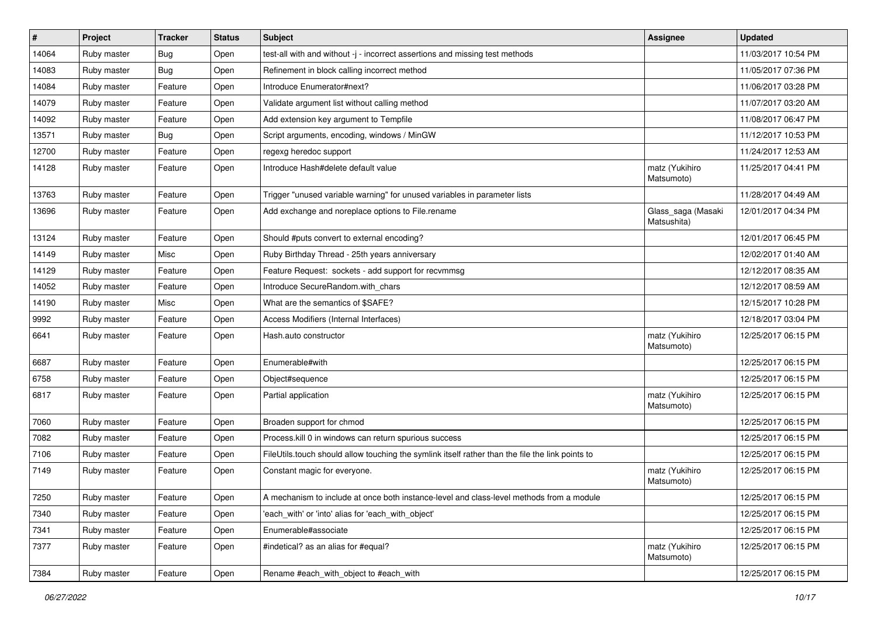| $\vert$ # | Project     | <b>Tracker</b> | <b>Status</b> | <b>Subject</b>                                                                                   | Assignee                          | <b>Updated</b>      |
|-----------|-------------|----------------|---------------|--------------------------------------------------------------------------------------------------|-----------------------------------|---------------------|
| 14064     | Ruby master | <b>Bug</b>     | Open          | test-all with and without -j - incorrect assertions and missing test methods                     |                                   | 11/03/2017 10:54 PM |
| 14083     | Ruby master | Bug            | Open          | Refinement in block calling incorrect method                                                     |                                   | 11/05/2017 07:36 PM |
| 14084     | Ruby master | Feature        | Open          | Introduce Enumerator#next?                                                                       |                                   | 11/06/2017 03:28 PM |
| 14079     | Ruby master | Feature        | Open          | Validate argument list without calling method                                                    |                                   | 11/07/2017 03:20 AM |
| 14092     | Ruby master | Feature        | Open          | Add extension key argument to Tempfile                                                           |                                   | 11/08/2017 06:47 PM |
| 13571     | Ruby master | <b>Bug</b>     | Open          | Script arguments, encoding, windows / MinGW                                                      |                                   | 11/12/2017 10:53 PM |
| 12700     | Ruby master | Feature        | Open          | regexg heredoc support                                                                           |                                   | 11/24/2017 12:53 AM |
| 14128     | Ruby master | Feature        | Open          | Introduce Hash#delete default value                                                              | matz (Yukihiro<br>Matsumoto)      | 11/25/2017 04:41 PM |
| 13763     | Ruby master | Feature        | Open          | Trigger "unused variable warning" for unused variables in parameter lists                        |                                   | 11/28/2017 04:49 AM |
| 13696     | Ruby master | Feature        | Open          | Add exchange and noreplace options to File.rename                                                | Glass_saga (Masaki<br>Matsushita) | 12/01/2017 04:34 PM |
| 13124     | Ruby master | Feature        | Open          | Should #puts convert to external encoding?                                                       |                                   | 12/01/2017 06:45 PM |
| 14149     | Ruby master | Misc           | Open          | Ruby Birthday Thread - 25th years anniversary                                                    |                                   | 12/02/2017 01:40 AM |
| 14129     | Ruby master | Feature        | Open          | Feature Request: sockets - add support for recvmmsg                                              |                                   | 12/12/2017 08:35 AM |
| 14052     | Ruby master | Feature        | Open          | Introduce SecureRandom.with chars                                                                |                                   | 12/12/2017 08:59 AM |
| 14190     | Ruby master | Misc           | Open          | What are the semantics of \$SAFE?                                                                |                                   | 12/15/2017 10:28 PM |
| 9992      | Ruby master | Feature        | Open          | Access Modifiers (Internal Interfaces)                                                           |                                   | 12/18/2017 03:04 PM |
| 6641      | Ruby master | Feature        | Open          | Hash.auto constructor                                                                            | matz (Yukihiro<br>Matsumoto)      | 12/25/2017 06:15 PM |
| 6687      | Ruby master | Feature        | Open          | Enumerable#with                                                                                  |                                   | 12/25/2017 06:15 PM |
| 6758      | Ruby master | Feature        | Open          | Object#sequence                                                                                  |                                   | 12/25/2017 06:15 PM |
| 6817      | Ruby master | Feature        | Open          | Partial application                                                                              | matz (Yukihiro<br>Matsumoto)      | 12/25/2017 06:15 PM |
| 7060      | Ruby master | Feature        | Open          | Broaden support for chmod                                                                        |                                   | 12/25/2017 06:15 PM |
| 7082      | Ruby master | Feature        | Open          | Process.kill 0 in windows can return spurious success                                            |                                   | 12/25/2017 06:15 PM |
| 7106      | Ruby master | Feature        | Open          | FileUtils.touch should allow touching the symlink itself rather than the file the link points to |                                   | 12/25/2017 06:15 PM |
| 7149      | Ruby master | Feature        | Open          | Constant magic for everyone.                                                                     | matz (Yukihiro<br>Matsumoto)      | 12/25/2017 06:15 PM |
| 7250      | Ruby master | Feature        | Open          | A mechanism to include at once both instance-level and class-level methods from a module         |                                   | 12/25/2017 06:15 PM |
| 7340      | Ruby master | Feature        | Open          | 'each with' or 'into' alias for 'each with object'                                               |                                   | 12/25/2017 06:15 PM |
| 7341      | Ruby master | Feature        | Open          | Enumerable#associate                                                                             |                                   | 12/25/2017 06:15 PM |
| 7377      | Ruby master | Feature        | Open          | #indetical? as an alias for #equal?                                                              | matz (Yukihiro<br>Matsumoto)      | 12/25/2017 06:15 PM |
| 7384      | Ruby master | Feature        | Open          | Rename #each with object to #each with                                                           |                                   | 12/25/2017 06:15 PM |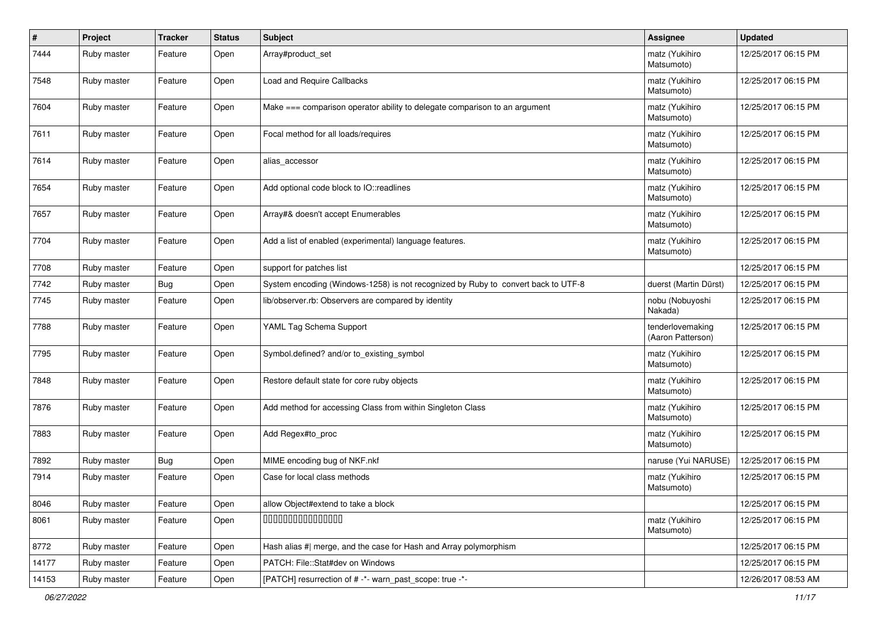| #     | Project     | <b>Tracker</b> | <b>Status</b> | <b>Subject</b>                                                                    | <b>Assignee</b>                       | <b>Updated</b>      |
|-------|-------------|----------------|---------------|-----------------------------------------------------------------------------------|---------------------------------------|---------------------|
| 7444  | Ruby master | Feature        | Open          | Array#product_set                                                                 | matz (Yukihiro<br>Matsumoto)          | 12/25/2017 06:15 PM |
| 7548  | Ruby master | Feature        | Open          | Load and Require Callbacks                                                        | matz (Yukihiro<br>Matsumoto)          | 12/25/2017 06:15 PM |
| 7604  | Ruby master | Feature        | Open          | Make === comparison operator ability to delegate comparison to an argument        | matz (Yukihiro<br>Matsumoto)          | 12/25/2017 06:15 PM |
| 7611  | Ruby master | Feature        | Open          | Focal method for all loads/requires                                               | matz (Yukihiro<br>Matsumoto)          | 12/25/2017 06:15 PM |
| 7614  | Ruby master | Feature        | Open          | alias_accessor                                                                    | matz (Yukihiro<br>Matsumoto)          | 12/25/2017 06:15 PM |
| 7654  | Ruby master | Feature        | Open          | Add optional code block to IO::readlines                                          | matz (Yukihiro<br>Matsumoto)          | 12/25/2017 06:15 PM |
| 7657  | Ruby master | Feature        | Open          | Array#& doesn't accept Enumerables                                                | matz (Yukihiro<br>Matsumoto)          | 12/25/2017 06:15 PM |
| 7704  | Ruby master | Feature        | Open          | Add a list of enabled (experimental) language features.                           | matz (Yukihiro<br>Matsumoto)          | 12/25/2017 06:15 PM |
| 7708  | Ruby master | Feature        | Open          | support for patches list                                                          |                                       | 12/25/2017 06:15 PM |
| 7742  | Ruby master | <b>Bug</b>     | Open          | System encoding (Windows-1258) is not recognized by Ruby to convert back to UTF-8 | duerst (Martin Dürst)                 | 12/25/2017 06:15 PM |
| 7745  | Ruby master | Feature        | Open          | lib/observer.rb: Observers are compared by identity                               | nobu (Nobuyoshi<br>Nakada)            | 12/25/2017 06:15 PM |
| 7788  | Ruby master | Feature        | Open          | YAML Tag Schema Support                                                           | tenderlovemaking<br>(Aaron Patterson) | 12/25/2017 06:15 PM |
| 7795  | Ruby master | Feature        | Open          | Symbol.defined? and/or to_existing_symbol                                         | matz (Yukihiro<br>Matsumoto)          | 12/25/2017 06:15 PM |
| 7848  | Ruby master | Feature        | Open          | Restore default state for core ruby objects                                       | matz (Yukihiro<br>Matsumoto)          | 12/25/2017 06:15 PM |
| 7876  | Ruby master | Feature        | Open          | Add method for accessing Class from within Singleton Class                        | matz (Yukihiro<br>Matsumoto)          | 12/25/2017 06:15 PM |
| 7883  | Ruby master | Feature        | Open          | Add Regex#to_proc                                                                 | matz (Yukihiro<br>Matsumoto)          | 12/25/2017 06:15 PM |
| 7892  | Ruby master | <b>Bug</b>     | Open          | MIME encoding bug of NKF.nkf                                                      | naruse (Yui NARUSE)                   | 12/25/2017 06:15 PM |
| 7914  | Ruby master | Feature        | Open          | Case for local class methods                                                      | matz (Yukihiro<br>Matsumoto)          | 12/25/2017 06:15 PM |
| 8046  | Ruby master | Feature        | Open          | allow Object#extend to take a block                                               |                                       | 12/25/2017 06:15 PM |
| 8061  | Ruby master | Feature        | Open          | 000000000000000                                                                   | matz (Yukihiro<br>Matsumoto)          | 12/25/2017 06:15 PM |
| 8772  | Ruby master | Feature        | Open          | Hash alias #  merge, and the case for Hash and Array polymorphism                 |                                       | 12/25/2017 06:15 PM |
| 14177 | Ruby master | Feature        | Open          | PATCH: File::Stat#dev on Windows                                                  |                                       | 12/25/2017 06:15 PM |
| 14153 | Ruby master | Feature        | Open          | [PATCH] resurrection of # -*- warn_past_scope: true -*-                           |                                       | 12/26/2017 08:53 AM |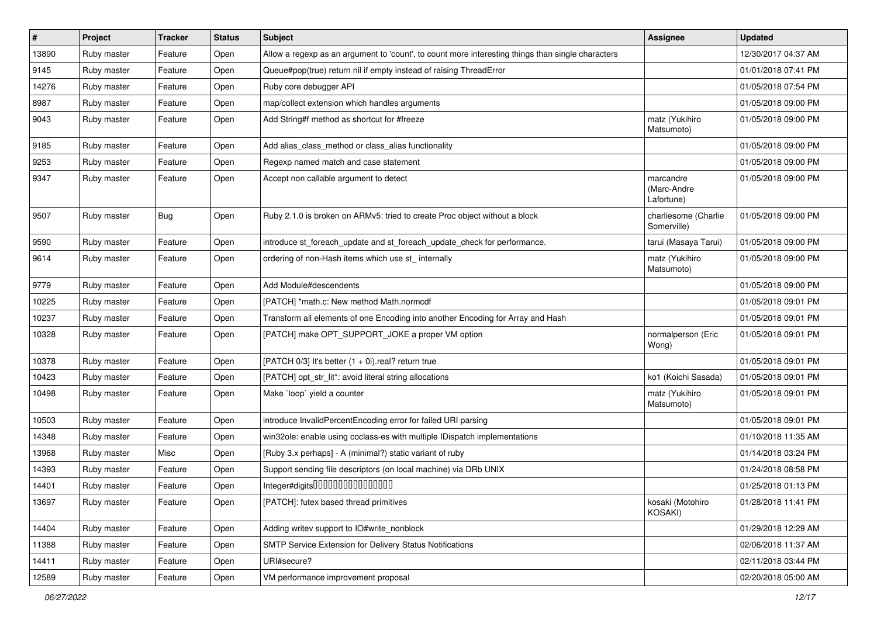| $\vert$ # | Project     | <b>Tracker</b> | <b>Status</b> | <b>Subject</b>                                                                                    | <b>Assignee</b>                        | <b>Updated</b>      |
|-----------|-------------|----------------|---------------|---------------------------------------------------------------------------------------------------|----------------------------------------|---------------------|
| 13890     | Ruby master | Feature        | Open          | Allow a regexp as an argument to 'count', to count more interesting things than single characters |                                        | 12/30/2017 04:37 AM |
| 9145      | Ruby master | Feature        | Open          | Queue#pop(true) return nil if empty instead of raising ThreadError                                |                                        | 01/01/2018 07:41 PM |
| 14276     | Ruby master | Feature        | Open          | Ruby core debugger API                                                                            |                                        | 01/05/2018 07:54 PM |
| 8987      | Ruby master | Feature        | Open          | map/collect extension which handles arguments                                                     |                                        | 01/05/2018 09:00 PM |
| 9043      | Ruby master | Feature        | Open          | Add String#f method as shortcut for #freeze                                                       | matz (Yukihiro<br>Matsumoto)           | 01/05/2018 09:00 PM |
| 9185      | Ruby master | Feature        | Open          | Add alias_class_method or class_alias functionality                                               |                                        | 01/05/2018 09:00 PM |
| 9253      | Ruby master | Feature        | Open          | Regexp named match and case statement                                                             |                                        | 01/05/2018 09:00 PM |
| 9347      | Ruby master | Feature        | Open          | Accept non callable argument to detect                                                            | marcandre<br>(Marc-Andre<br>Lafortune) | 01/05/2018 09:00 PM |
| 9507      | Ruby master | <b>Bug</b>     | Open          | Ruby 2.1.0 is broken on ARMv5: tried to create Proc object without a block                        | charliesome (Charlie<br>Somerville)    | 01/05/2018 09:00 PM |
| 9590      | Ruby master | Feature        | Open          | introduce st foreach update and st foreach update check for performance.                          | tarui (Masaya Tarui)                   | 01/05/2018 09:00 PM |
| 9614      | Ruby master | Feature        | Open          | ordering of non-Hash items which use st_ internally                                               | matz (Yukihiro<br>Matsumoto)           | 01/05/2018 09:00 PM |
| 9779      | Ruby master | Feature        | Open          | Add Module#descendents                                                                            |                                        | 01/05/2018 09:00 PM |
| 10225     | Ruby master | Feature        | Open          | [PATCH] *math.c: New method Math.normcdf                                                          |                                        | 01/05/2018 09:01 PM |
| 10237     | Ruby master | Feature        | Open          | Transform all elements of one Encoding into another Encoding for Array and Hash                   |                                        | 01/05/2018 09:01 PM |
| 10328     | Ruby master | Feature        | Open          | [PATCH] make OPT_SUPPORT_JOKE a proper VM option                                                  | normalperson (Eric<br>Wong)            | 01/05/2018 09:01 PM |
| 10378     | Ruby master | Feature        | Open          | [PATCH 0/3] It's better $(1 + 0i)$ real? return true                                              |                                        | 01/05/2018 09:01 PM |
| 10423     | Ruby master | Feature        | Open          | [PATCH] opt_str_lit*: avoid literal string allocations                                            | ko1 (Koichi Sasada)                    | 01/05/2018 09:01 PM |
| 10498     | Ruby master | Feature        | Open          | Make `loop` yield a counter                                                                       | matz (Yukihiro<br>Matsumoto)           | 01/05/2018 09:01 PM |
| 10503     | Ruby master | Feature        | Open          | introduce InvalidPercentEncoding error for failed URI parsing                                     |                                        | 01/05/2018 09:01 PM |
| 14348     | Ruby master | Feature        | Open          | win32ole: enable using coclass-es with multiple IDispatch implementations                         |                                        | 01/10/2018 11:35 AM |
| 13968     | Ruby master | Misc           | Open          | [Ruby 3.x perhaps] - A (minimal?) static variant of ruby                                          |                                        | 01/14/2018 03:24 PM |
| 14393     | Ruby master | Feature        | Open          | Support sending file descriptors (on local machine) via DRb UNIX                                  |                                        | 01/24/2018 08:58 PM |
| 14401     | Ruby master | Feature        | Open          | Integer#digits000000000000000                                                                     |                                        | 01/25/2018 01:13 PM |
| 13697     | Ruby master | Feature        | Open          | [PATCH]: futex based thread primitives                                                            | kosaki (Motohiro<br>KOSAKI)            | 01/28/2018 11:41 PM |
| 14404     | Ruby master | Feature        | Open          | Adding writev support to IO#write_nonblock                                                        |                                        | 01/29/2018 12:29 AM |
| 11388     | Ruby master | Feature        | Open          | SMTP Service Extension for Delivery Status Notifications                                          |                                        | 02/06/2018 11:37 AM |
| 14411     | Ruby master | Feature        | Open          | URI#secure?                                                                                       |                                        | 02/11/2018 03:44 PM |
| 12589     | Ruby master | Feature        | Open          | VM performance improvement proposal                                                               |                                        | 02/20/2018 05:00 AM |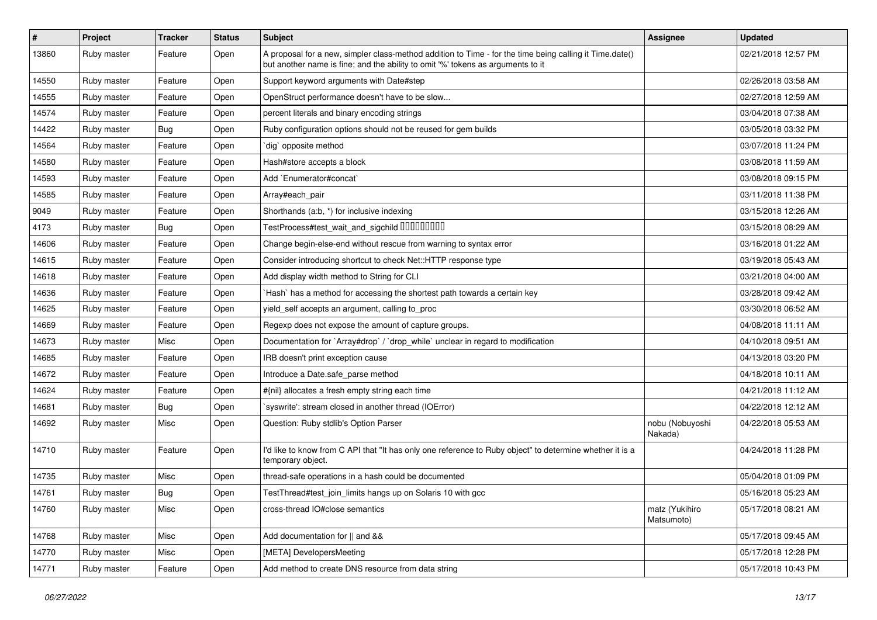| $\sharp$ | Project     | <b>Tracker</b> | <b>Status</b> | <b>Subject</b>                                                                                                                                                                             | Assignee                     | <b>Updated</b>      |
|----------|-------------|----------------|---------------|--------------------------------------------------------------------------------------------------------------------------------------------------------------------------------------------|------------------------------|---------------------|
| 13860    | Ruby master | Feature        | Open          | A proposal for a new, simpler class-method addition to Time - for the time being calling it Time.date()<br>but another name is fine; and the ability to omit '%' tokens as arguments to it |                              | 02/21/2018 12:57 PM |
| 14550    | Ruby master | Feature        | Open          | Support keyword arguments with Date#step                                                                                                                                                   |                              | 02/26/2018 03:58 AM |
| 14555    | Ruby master | Feature        | Open          | OpenStruct performance doesn't have to be slow                                                                                                                                             |                              | 02/27/2018 12:59 AM |
| 14574    | Ruby master | Feature        | Open          | percent literals and binary encoding strings                                                                                                                                               |                              | 03/04/2018 07:38 AM |
| 14422    | Ruby master | <b>Bug</b>     | Open          | Ruby configuration options should not be reused for gem builds                                                                                                                             |                              | 03/05/2018 03:32 PM |
| 14564    | Ruby master | Feature        | Open          | dig` opposite method                                                                                                                                                                       |                              | 03/07/2018 11:24 PM |
| 14580    | Ruby master | Feature        | Open          | Hash#store accepts a block                                                                                                                                                                 |                              | 03/08/2018 11:59 AM |
| 14593    | Ruby master | Feature        | Open          | Add `Enumerator#concat`                                                                                                                                                                    |                              | 03/08/2018 09:15 PM |
| 14585    | Ruby master | Feature        | Open          | Array#each_pair                                                                                                                                                                            |                              | 03/11/2018 11:38 PM |
| 9049     | Ruby master | Feature        | Open          | Shorthands (a:b, *) for inclusive indexing                                                                                                                                                 |                              | 03/15/2018 12:26 AM |
| 4173     | Ruby master | <b>Bug</b>     | Open          | TestProcess#test_wait_and_sigchild 00000000                                                                                                                                                |                              | 03/15/2018 08:29 AM |
| 14606    | Ruby master | Feature        | Open          | Change begin-else-end without rescue from warning to syntax error                                                                                                                          |                              | 03/16/2018 01:22 AM |
| 14615    | Ruby master | Feature        | Open          | Consider introducing shortcut to check Net::HTTP response type                                                                                                                             |                              | 03/19/2018 05:43 AM |
| 14618    | Ruby master | Feature        | Open          | Add display width method to String for CLI                                                                                                                                                 |                              | 03/21/2018 04:00 AM |
| 14636    | Ruby master | Feature        | Open          | Hash` has a method for accessing the shortest path towards a certain key                                                                                                                   |                              | 03/28/2018 09:42 AM |
| 14625    | Ruby master | Feature        | Open          | yield_self accepts an argument, calling to_proc                                                                                                                                            |                              | 03/30/2018 06:52 AM |
| 14669    | Ruby master | Feature        | Open          | Regexp does not expose the amount of capture groups.                                                                                                                                       |                              | 04/08/2018 11:11 AM |
| 14673    | Ruby master | Misc           | Open          | Documentation for `Array#drop` / `drop_while` unclear in regard to modification                                                                                                            |                              | 04/10/2018 09:51 AM |
| 14685    | Ruby master | Feature        | Open          | IRB doesn't print exception cause                                                                                                                                                          |                              | 04/13/2018 03:20 PM |
| 14672    | Ruby master | Feature        | Open          | Introduce a Date.safe parse method                                                                                                                                                         |                              | 04/18/2018 10:11 AM |
| 14624    | Ruby master | Feature        | Open          | #{nil} allocates a fresh empty string each time                                                                                                                                            |                              | 04/21/2018 11:12 AM |
| 14681    | Ruby master | <b>Bug</b>     | Open          | `syswrite': stream closed in another thread (IOError)                                                                                                                                      |                              | 04/22/2018 12:12 AM |
| 14692    | Ruby master | Misc           | Open          | Question: Ruby stdlib's Option Parser                                                                                                                                                      | nobu (Nobuyoshi<br>Nakada)   | 04/22/2018 05:53 AM |
| 14710    | Ruby master | Feature        | Open          | I'd like to know from C API that "It has only one reference to Ruby object" to determine whether it is a<br>temporary object.                                                              |                              | 04/24/2018 11:28 PM |
| 14735    | Ruby master | Misc           | Open          | thread-safe operations in a hash could be documented                                                                                                                                       |                              | 05/04/2018 01:09 PM |
| 14761    | Ruby master | Bug            | Open          | TestThread#test_join_limits hangs up on Solaris 10 with gcc                                                                                                                                |                              | 05/16/2018 05:23 AM |
| 14760    | Ruby master | Misc           | Open          | cross-thread IO#close semantics                                                                                                                                                            | matz (Yukihiro<br>Matsumoto) | 05/17/2018 08:21 AM |
| 14768    | Ruby master | Misc           | Open          | Add documentation for    and &&                                                                                                                                                            |                              | 05/17/2018 09:45 AM |
| 14770    | Ruby master | Misc           | Open          | [META] DevelopersMeeting                                                                                                                                                                   |                              | 05/17/2018 12:28 PM |
| 14771    | Ruby master | Feature        | Open          | Add method to create DNS resource from data string                                                                                                                                         |                              | 05/17/2018 10:43 PM |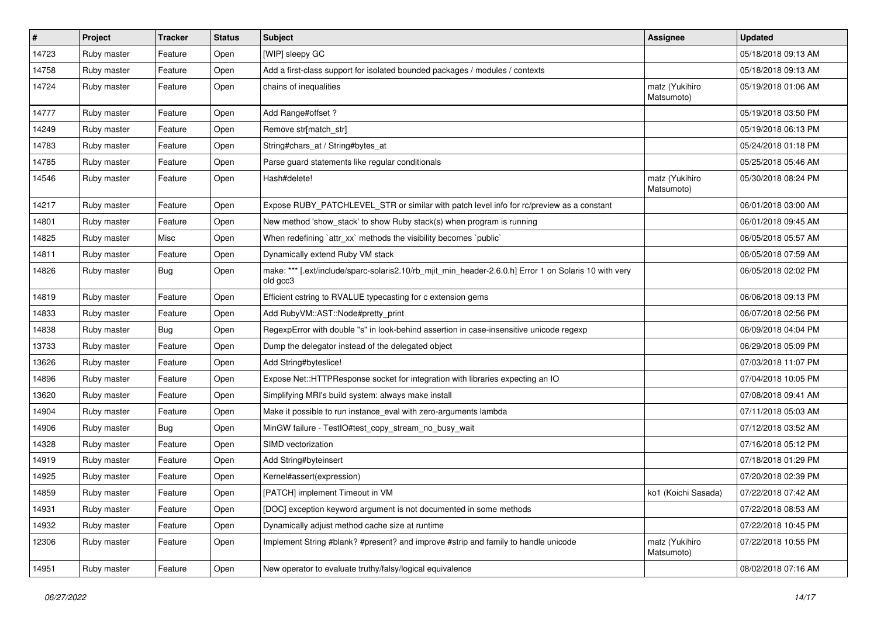| $\vert$ # | Project     | <b>Tracker</b> | <b>Status</b> | <b>Subject</b>                                                                                                    | Assignee                     | <b>Updated</b>      |
|-----------|-------------|----------------|---------------|-------------------------------------------------------------------------------------------------------------------|------------------------------|---------------------|
| 14723     | Ruby master | Feature        | Open          | [WIP] sleepy GC                                                                                                   |                              | 05/18/2018 09:13 AM |
| 14758     | Ruby master | Feature        | Open          | Add a first-class support for isolated bounded packages / modules / contexts                                      |                              | 05/18/2018 09:13 AM |
| 14724     | Ruby master | Feature        | Open          | chains of inequalities                                                                                            | matz (Yukihiro<br>Matsumoto) | 05/19/2018 01:06 AM |
| 14777     | Ruby master | Feature        | Open          | Add Range#offset?                                                                                                 |                              | 05/19/2018 03:50 PM |
| 14249     | Ruby master | Feature        | Open          | Remove str[match_str]                                                                                             |                              | 05/19/2018 06:13 PM |
| 14783     | Ruby master | Feature        | Open          | String#chars_at / String#bytes_at                                                                                 |                              | 05/24/2018 01:18 PM |
| 14785     | Ruby master | Feature        | Open          | Parse guard statements like regular conditionals                                                                  |                              | 05/25/2018 05:46 AM |
| 14546     | Ruby master | Feature        | Open          | Hash#delete!                                                                                                      | matz (Yukihiro<br>Matsumoto) | 05/30/2018 08:24 PM |
| 14217     | Ruby master | Feature        | Open          | Expose RUBY_PATCHLEVEL_STR or similar with patch level info for rc/preview as a constant                          |                              | 06/01/2018 03:00 AM |
| 14801     | Ruby master | Feature        | Open          | New method 'show_stack' to show Ruby stack(s) when program is running                                             |                              | 06/01/2018 09:45 AM |
| 14825     | Ruby master | Misc           | Open          | When redefining 'attr_xx' methods the visibility becomes 'public'                                                 |                              | 06/05/2018 05:57 AM |
| 14811     | Ruby master | Feature        | Open          | Dynamically extend Ruby VM stack                                                                                  |                              | 06/05/2018 07:59 AM |
| 14826     | Ruby master | <b>Bug</b>     | Open          | make: *** [.ext/include/sparc-solaris2.10/rb_mjit_min_header-2.6.0.h] Error 1 on Solaris 10 with very<br>old gcc3 |                              | 06/05/2018 02:02 PM |
| 14819     | Ruby master | Feature        | Open          | Efficient cstring to RVALUE typecasting for c extension gems                                                      |                              | 06/06/2018 09:13 PM |
| 14833     | Ruby master | Feature        | Open          | Add RubyVM::AST::Node#pretty_print                                                                                |                              | 06/07/2018 02:56 PM |
| 14838     | Ruby master | <b>Bug</b>     | Open          | RegexpError with double "s" in look-behind assertion in case-insensitive unicode regexp                           |                              | 06/09/2018 04:04 PM |
| 13733     | Ruby master | Feature        | Open          | Dump the delegator instead of the delegated object                                                                |                              | 06/29/2018 05:09 PM |
| 13626     | Ruby master | Feature        | Open          | Add String#byteslice!                                                                                             |                              | 07/03/2018 11:07 PM |
| 14896     | Ruby master | Feature        | Open          | Expose Net::HTTPResponse socket for integration with libraries expecting an IO                                    |                              | 07/04/2018 10:05 PM |
| 13620     | Ruby master | Feature        | Open          | Simplifying MRI's build system: always make install                                                               |                              | 07/08/2018 09:41 AM |
| 14904     | Ruby master | Feature        | Open          | Make it possible to run instance_eval with zero-arguments lambda                                                  |                              | 07/11/2018 05:03 AM |
| 14906     | Ruby master | Bug            | Open          | MinGW failure - TestIO#test_copy_stream_no_busy_wait                                                              |                              | 07/12/2018 03:52 AM |
| 14328     | Ruby master | Feature        | Open          | SIMD vectorization                                                                                                |                              | 07/16/2018 05:12 PM |
| 14919     | Ruby master | Feature        | Open          | Add String#byteinsert                                                                                             |                              | 07/18/2018 01:29 PM |
| 14925     | Ruby master | Feature        | Open          | Kernel#assert(expression)                                                                                         |                              | 07/20/2018 02:39 PM |
| 14859     | Ruby master | Feature        | Open          | [PATCH] implement Timeout in VM                                                                                   | ko1 (Koichi Sasada)          | 07/22/2018 07:42 AM |
| 14931     | Ruby master | Feature        | Open          | [DOC] exception keyword argument is not documented in some methods                                                |                              | 07/22/2018 08:53 AM |
| 14932     | Ruby master | Feature        | Open          | Dynamically adjust method cache size at runtime                                                                   |                              | 07/22/2018 10:45 PM |
| 12306     | Ruby master | Feature        | Open          | Implement String #blank? #present? and improve #strip and family to handle unicode                                | matz (Yukihiro<br>Matsumoto) | 07/22/2018 10:55 PM |
| 14951     | Ruby master | Feature        | Open          | New operator to evaluate truthy/falsy/logical equivalence                                                         |                              | 08/02/2018 07:16 AM |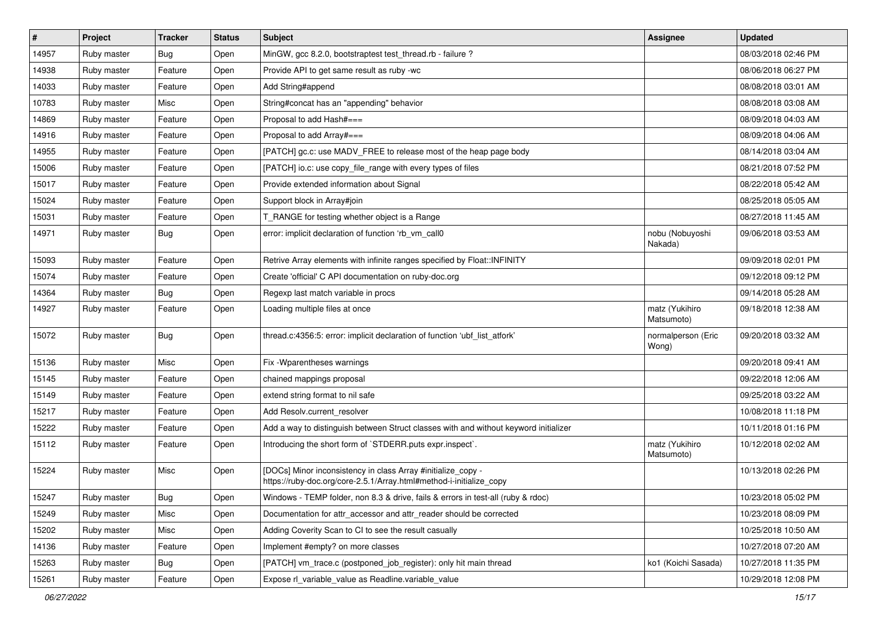| $\vert$ # | Project     | <b>Tracker</b> | <b>Status</b> | <b>Subject</b>                                                                                                                      | Assignee                     | <b>Updated</b>      |
|-----------|-------------|----------------|---------------|-------------------------------------------------------------------------------------------------------------------------------------|------------------------------|---------------------|
| 14957     | Ruby master | <b>Bug</b>     | Open          | MinGW, gcc 8.2.0, bootstraptest test_thread.rb - failure ?                                                                          |                              | 08/03/2018 02:46 PM |
| 14938     | Ruby master | Feature        | Open          | Provide API to get same result as ruby -wc                                                                                          |                              | 08/06/2018 06:27 PM |
| 14033     | Ruby master | Feature        | Open          | Add String#append                                                                                                                   |                              | 08/08/2018 03:01 AM |
| 10783     | Ruby master | Misc           | Open          | String#concat has an "appending" behavior                                                                                           |                              | 08/08/2018 03:08 AM |
| 14869     | Ruby master | Feature        | Open          | Proposal to add Hash#===                                                                                                            |                              | 08/09/2018 04:03 AM |
| 14916     | Ruby master | Feature        | Open          | Proposal to add Array#===                                                                                                           |                              | 08/09/2018 04:06 AM |
| 14955     | Ruby master | Feature        | Open          | [PATCH] gc.c: use MADV_FREE to release most of the heap page body                                                                   |                              | 08/14/2018 03:04 AM |
| 15006     | Ruby master | Feature        | Open          | [PATCH] io.c: use copy_file_range with every types of files                                                                         |                              | 08/21/2018 07:52 PM |
| 15017     | Ruby master | Feature        | Open          | Provide extended information about Signal                                                                                           |                              | 08/22/2018 05:42 AM |
| 15024     | Ruby master | Feature        | Open          | Support block in Array#join                                                                                                         |                              | 08/25/2018 05:05 AM |
| 15031     | Ruby master | Feature        | Open          | T_RANGE for testing whether object is a Range                                                                                       |                              | 08/27/2018 11:45 AM |
| 14971     | Ruby master | <b>Bug</b>     | Open          | error: implicit declaration of function 'rb_vm_call0                                                                                | nobu (Nobuyoshi<br>Nakada)   | 09/06/2018 03:53 AM |
| 15093     | Ruby master | Feature        | Open          | Retrive Array elements with infinite ranges specified by Float:: INFINITY                                                           |                              | 09/09/2018 02:01 PM |
| 15074     | Ruby master | Feature        | Open          | Create 'official' C API documentation on ruby-doc.org                                                                               |                              | 09/12/2018 09:12 PM |
| 14364     | Ruby master | <b>Bug</b>     | Open          | Regexp last match variable in procs                                                                                                 |                              | 09/14/2018 05:28 AM |
| 14927     | Ruby master | Feature        | Open          | Loading multiple files at once                                                                                                      | matz (Yukihiro<br>Matsumoto) | 09/18/2018 12:38 AM |
| 15072     | Ruby master | <b>Bug</b>     | Open          | thread.c:4356:5: error: implicit declaration of function 'ubf_list_atfork'                                                          | normalperson (Eric<br>Wong)  | 09/20/2018 03:32 AM |
| 15136     | Ruby master | Misc           | Open          | Fix - Wparentheses warnings                                                                                                         |                              | 09/20/2018 09:41 AM |
| 15145     | Ruby master | Feature        | Open          | chained mappings proposal                                                                                                           |                              | 09/22/2018 12:06 AM |
| 15149     | Ruby master | Feature        | Open          | extend string format to nil safe                                                                                                    |                              | 09/25/2018 03:22 AM |
| 15217     | Ruby master | Feature        | Open          | Add Resolv.current_resolver                                                                                                         |                              | 10/08/2018 11:18 PM |
| 15222     | Ruby master | Feature        | Open          | Add a way to distinguish between Struct classes with and without keyword initializer                                                |                              | 10/11/2018 01:16 PM |
| 15112     | Ruby master | Feature        | Open          | Introducing the short form of `STDERR.puts expr.inspect`.                                                                           | matz (Yukihiro<br>Matsumoto) | 10/12/2018 02:02 AM |
| 15224     | Ruby master | Misc           | Open          | [DOCs] Minor inconsistency in class Array #initialize_copy -<br>https://ruby-doc.org/core-2.5.1/Array.html#method-i-initialize_copy |                              | 10/13/2018 02:26 PM |
| 15247     | Ruby master | <b>Bug</b>     | Open          | Windows - TEMP folder, non 8.3 & drive, fails & errors in test-all (ruby & rdoc)                                                    |                              | 10/23/2018 05:02 PM |
| 15249     | Ruby master | Misc           | Open          | Documentation for attr accessor and attr reader should be corrected                                                                 |                              | 10/23/2018 08:09 PM |
| 15202     | Ruby master | Misc           | Open          | Adding Coverity Scan to CI to see the result casually                                                                               |                              | 10/25/2018 10:50 AM |
| 14136     | Ruby master | Feature        | Open          | Implement #empty? on more classes                                                                                                   |                              | 10/27/2018 07:20 AM |
| 15263     | Ruby master | Bug            | Open          | [PATCH] vm_trace.c (postponed_job_register): only hit main thread                                                                   | ko1 (Koichi Sasada)          | 10/27/2018 11:35 PM |
| 15261     | Ruby master | Feature        | Open          | Expose rl_variable_value as Readline.variable_value                                                                                 |                              | 10/29/2018 12:08 PM |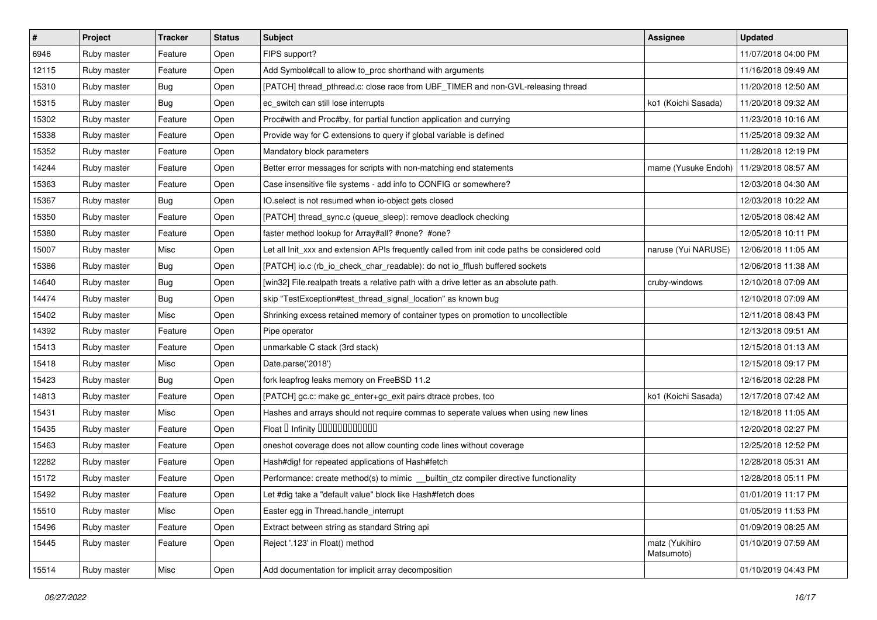| #     | Project     | <b>Tracker</b> | <b>Status</b> | Subject                                                                                       | Assignee                     | <b>Updated</b>      |
|-------|-------------|----------------|---------------|-----------------------------------------------------------------------------------------------|------------------------------|---------------------|
| 6946  | Ruby master | Feature        | Open          | FIPS support?                                                                                 |                              | 11/07/2018 04:00 PM |
| 12115 | Ruby master | Feature        | Open          | Add Symbol#call to allow to_proc shorthand with arguments                                     |                              | 11/16/2018 09:49 AM |
| 15310 | Ruby master | Bug            | Open          | [PATCH] thread_pthread.c: close race from UBF_TIMER and non-GVL-releasing thread              |                              | 11/20/2018 12:50 AM |
| 15315 | Ruby master | Bug            | Open          | ec_switch can still lose interrupts                                                           | ko1 (Koichi Sasada)          | 11/20/2018 09:32 AM |
| 15302 | Ruby master | Feature        | Open          | Proc#with and Proc#by, for partial function application and currying                          |                              | 11/23/2018 10:16 AM |
| 15338 | Ruby master | Feature        | Open          | Provide way for C extensions to query if global variable is defined                           |                              | 11/25/2018 09:32 AM |
| 15352 | Ruby master | Feature        | Open          | Mandatory block parameters                                                                    |                              | 11/28/2018 12:19 PM |
| 14244 | Ruby master | Feature        | Open          | Better error messages for scripts with non-matching end statements                            | mame (Yusuke Endoh)          | 11/29/2018 08:57 AM |
| 15363 | Ruby master | Feature        | Open          | Case insensitive file systems - add info to CONFIG or somewhere?                              |                              | 12/03/2018 04:30 AM |
| 15367 | Ruby master | <b>Bug</b>     | Open          | IO.select is not resumed when io-object gets closed                                           |                              | 12/03/2018 10:22 AM |
| 15350 | Ruby master | Feature        | Open          | [PATCH] thread_sync.c (queue_sleep): remove deadlock checking                                 |                              | 12/05/2018 08:42 AM |
| 15380 | Ruby master | Feature        | Open          | faster method lookup for Array#all? #none? #one?                                              |                              | 12/05/2018 10:11 PM |
| 15007 | Ruby master | Misc           | Open          | Let all Init_xxx and extension APIs frequently called from init code paths be considered cold | naruse (Yui NARUSE)          | 12/06/2018 11:05 AM |
| 15386 | Ruby master | Bug            | Open          | [PATCH] io.c (rb_io_check_char_readable): do not io_fflush buffered sockets                   |                              | 12/06/2018 11:38 AM |
| 14640 | Ruby master | <b>Bug</b>     | Open          | [win32] File.realpath treats a relative path with a drive letter as an absolute path.         | cruby-windows                | 12/10/2018 07:09 AM |
| 14474 | Ruby master | Bug            | Open          | skip "TestException#test_thread_signal_location" as known bug                                 |                              | 12/10/2018 07:09 AM |
| 15402 | Ruby master | Misc           | Open          | Shrinking excess retained memory of container types on promotion to uncollectible             |                              | 12/11/2018 08:43 PM |
| 14392 | Ruby master | Feature        | Open          | Pipe operator                                                                                 |                              | 12/13/2018 09:51 AM |
| 15413 | Ruby master | Feature        | Open          | unmarkable C stack (3rd stack)                                                                |                              | 12/15/2018 01:13 AM |
| 15418 | Ruby master | Misc           | Open          | Date.parse('2018')                                                                            |                              | 12/15/2018 09:17 PM |
| 15423 | Ruby master | Bug            | Open          | fork leapfrog leaks memory on FreeBSD 11.2                                                    |                              | 12/16/2018 02:28 PM |
| 14813 | Ruby master | Feature        | Open          | [PATCH] gc.c: make gc_enter+gc_exit pairs dtrace probes, too                                  | ko1 (Koichi Sasada)          | 12/17/2018 07:42 AM |
| 15431 | Ruby master | Misc           | Open          | Hashes and arrays should not require commas to seperate values when using new lines           |                              | 12/18/2018 11:05 AM |
| 15435 | Ruby master | Feature        | Open          | Float D Infinity 000000000000                                                                 |                              | 12/20/2018 02:27 PM |
| 15463 | Ruby master | Feature        | Open          | oneshot coverage does not allow counting code lines without coverage                          |                              | 12/25/2018 12:52 PM |
| 12282 | Ruby master | Feature        | Open          | Hash#dig! for repeated applications of Hash#fetch                                             |                              | 12/28/2018 05:31 AM |
| 15172 | Ruby master | Feature        | Open          | Performance: create method(s) to mimic _builtin_ctz compiler directive functionality          |                              | 12/28/2018 05:11 PM |
| 15492 | Ruby master | Feature        | Open          | Let #dig take a "default value" block like Hash#fetch does                                    |                              | 01/01/2019 11:17 PM |
| 15510 | Ruby master | Misc           | Open          | Easter egg in Thread.handle interrupt                                                         |                              | 01/05/2019 11:53 PM |
| 15496 | Ruby master | Feature        | Open          | Extract between string as standard String api                                                 |                              | 01/09/2019 08:25 AM |
| 15445 | Ruby master | Feature        | Open          | Reject '.123' in Float() method                                                               | matz (Yukihiro<br>Matsumoto) | 01/10/2019 07:59 AM |
| 15514 | Ruby master | Misc           | Open          | Add documentation for implicit array decomposition                                            |                              | 01/10/2019 04:43 PM |